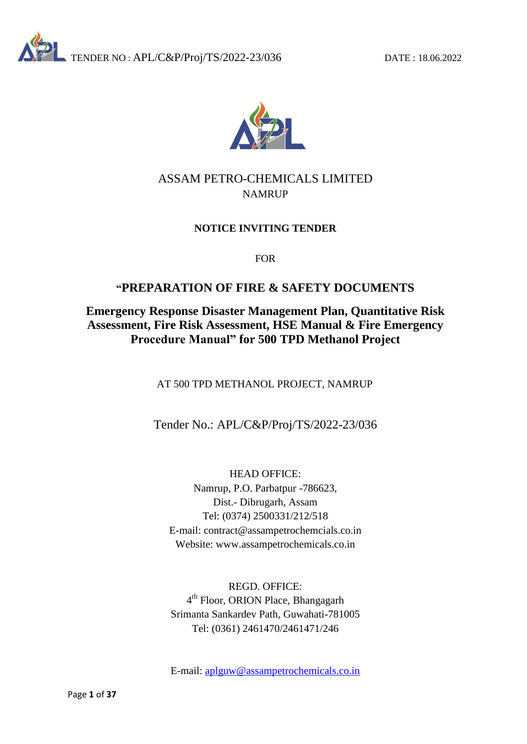



## ASSAM PETRO-CHEMICALS LIMITED NAMRUP

## **NOTICE INVITING TENDER**

FOR

## **"PREPARATION OF FIRE & SAFETY DOCUMENTS**

## **Emergency Response Disaster Management Plan, Quantitative Risk Assessment, Fire Risk Assessment, HSE Manual & Fire Emergency Procedure Manual" for 500 TPD Methanol Project**

AT 500 TPD METHANOL PROJECT, NAMRUP

Tender No.: APL/C&P/Proj/TS/2022-23/036

HEAD OFFICE: Namrup, P.O. Parbatpur -786623, Dist.- Dibrugarh, Assam Tel: (0374) 2500331/212/518 E-mail: contract@assampetrochemcials.co.in Website: www.assampetrochemicals.co.in

REGD. OFFICE: 4<sup>th</sup> Floor, ORION Place, Bhangagarh Srimanta Sankardev Path, Guwahati-781005 Tel: (0361) 2461470/2461471/246

E-mail: [aplguw@assampetrochemicals.co.in](mailto:aplguw@assampetrochemicals.co.in)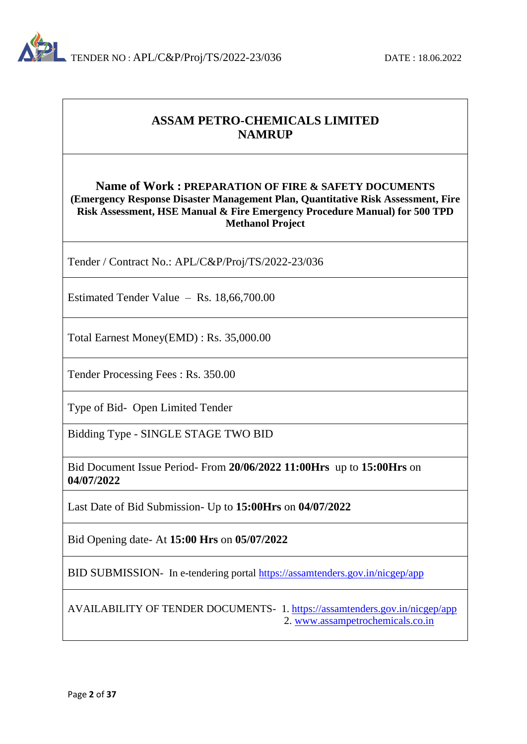

## **ASSAM PETRO-CHEMICALS LIMITED NAMRUP**

## **Name of Work : PREPARATION OF FIRE & SAFETY DOCUMENTS (Emergency Response Disaster Management Plan, Quantitative Risk Assessment, Fire Risk Assessment, HSE Manual & Fire Emergency Procedure Manual) for 500 TPD Methanol Project**

Tender / Contract No.: APL/C&P/Proj/TS/2022-23/036

Estimated Tender Value – Rs. 18,66,700.00

Total Earnest Money(EMD) : Rs. 35,000.00

Tender Processing Fees : Rs. 350.00

Type of Bid- Open Limited Tender

Bidding Type - SINGLE STAGE TWO BID

Bid Document Issue Period- From **20/06/2022 11:00Hrs** up to **15:00Hrs** on **04/07/2022**

Last Date of Bid Submission- Up to **15:00Hrs** on **04/07/2022**

Bid Opening date- At **15:00 Hrs** on **05/07/2022**

BID SUBMISSION- In e-tendering portal<https://assamtenders.gov.in/nicgep/app>

AVAILABILITY OF TENDER DOCUMENTS- 1. <https://assamtenders.gov.in/nicgep/app> 2. [www.assampetrochemicals.co.in](http://www.assampetrochemicals.co.in/)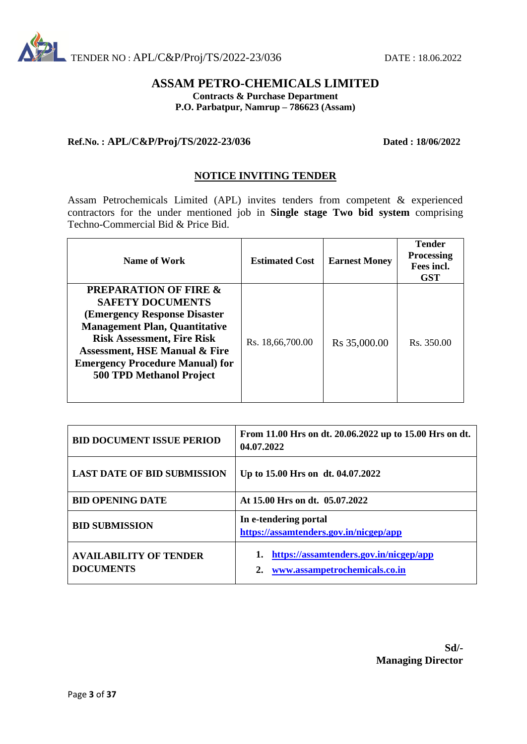

## **ASSAM PETRO-CHEMICALS LIMITED**

**Contracts & Purchase Department**

**P.O. Parbatpur, Namrup – 786623 (Assam)**

#### **Ref.No. : APL/C&P/Proj/TS/2022-23/036 Dated : 18/06/2022**

#### **NOTICE INVITING TENDER**

Assam Petrochemicals Limited (APL) invites tenders from competent & experienced contractors for the under mentioned job in **Single stage Two bid system** comprising Techno-Commercial Bid & Price Bid.

| Name of Work                                                                                                                                                                                                                                                                                              | <b>Estimated Cost</b> | <b>Earnest Money</b>     | <b>Tender</b><br><b>Processing</b><br>Fees incl.<br><b>GST</b> |
|-----------------------------------------------------------------------------------------------------------------------------------------------------------------------------------------------------------------------------------------------------------------------------------------------------------|-----------------------|--------------------------|----------------------------------------------------------------|
| <b>PREPARATION OF FIRE &amp;</b><br><b>SAFETY DOCUMENTS</b><br><b>(Emergency Response Disaster)</b><br><b>Management Plan, Quantitative</b><br><b>Risk Assessment, Fire Risk</b><br><b>Assessment, HSE Manual &amp; Fire</b><br><b>Emergency Procedure Manual) for</b><br><b>500 TPD Methanol Project</b> | Rs. 18,66,700.00      | R <sub>s</sub> 35,000.00 | Rs. 350.00                                                     |

| <b>BID DOCUMENT ISSUE PERIOD</b>                  | From 11.00 Hrs on dt. 20.06.2022 up to 15.00 Hrs on dt.<br>04.07.2022   |  |  |
|---------------------------------------------------|-------------------------------------------------------------------------|--|--|
| <b>LAST DATE OF BID SUBMISSION</b>                | Up to 15.00 Hrs on dt. 04.07.2022                                       |  |  |
| <b>BID OPENING DATE</b>                           | At 15.00 Hrs on dt. 05.07.2022                                          |  |  |
| <b>BID SUBMISSION</b>                             | In e-tendering portal<br>https://assamtenders.gov.in/nicgep/app         |  |  |
| <b>AVAILABILITY OF TENDER</b><br><b>DOCUMENTS</b> | https://assamtenders.gov.in/nicgep/app<br>www.assampetrochemicals.co.in |  |  |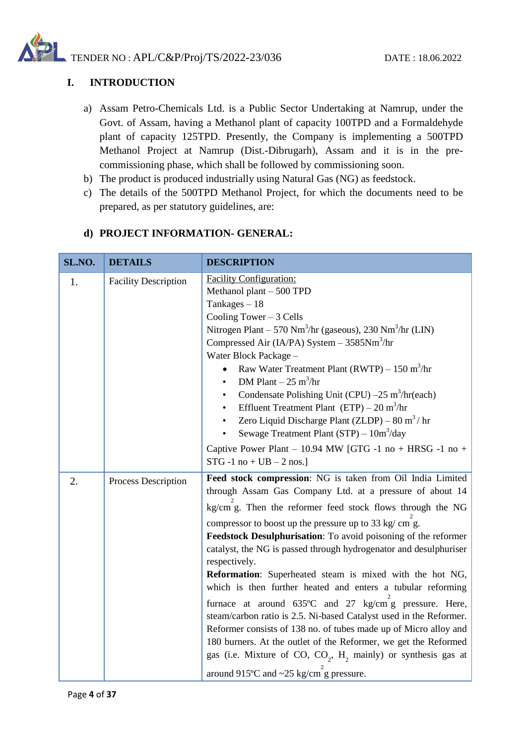

## **I. INTRODUCTION**

- a) Assam Petro-Chemicals Ltd. is a Public Sector Undertaking at Namrup, under the Govt. of Assam, having a Methanol plant of capacity 100TPD and a Formaldehyde plant of capacity 125TPD. Presently, the Company is implementing a 500TPD Methanol Project at Namrup (Dist.-Dibrugarh), Assam and it is in the precommissioning phase, which shall be followed by commissioning soon.
- b) The product is produced industrially using Natural Gas (NG) as feedstock.
- c) The details of the 500TPD Methanol Project, for which the documents need to be prepared, as per statutory guidelines, are:

| SL.NO. | <b>DETAILS</b>              | <b>DESCRIPTION</b>                                                                                                                                                                                                                                                                                                                                                                                                                                                                                                                                                                                                                                                                                                                                                                                                                                                                                                                                            |
|--------|-----------------------------|---------------------------------------------------------------------------------------------------------------------------------------------------------------------------------------------------------------------------------------------------------------------------------------------------------------------------------------------------------------------------------------------------------------------------------------------------------------------------------------------------------------------------------------------------------------------------------------------------------------------------------------------------------------------------------------------------------------------------------------------------------------------------------------------------------------------------------------------------------------------------------------------------------------------------------------------------------------|
| 1.     | <b>Facility Description</b> | <b>Facility Configuration:</b><br>Methanol plant $-500$ TPD<br>Tankages $-18$<br>Cooling Tower $-3$ Cells<br>Nitrogen Plant $-570$ Nm <sup>3</sup> /hr (gaseous), 230 Nm <sup>3</sup> /hr (LIN)<br>Compressed Air (IA/PA) System $-3585$ Nm <sup>3</sup> /hr<br>Water Block Package -<br>Raw Water Treatment Plant (RWTP) $- 150$ m <sup>3</sup> /hr<br>$\bullet$<br>DM Plant $-25 \text{ m}^3/\text{hr}$<br>$\bullet$<br>Condensate Polishing Unit (CPU) $-25 \text{ m}^3/\text{hr}(\text{each})$<br>$\bullet$<br>Effluent Treatment Plant $(ETP) - 20 \text{ m}^3/\text{hr}$<br>$\bullet$<br>Zero Liquid Discharge Plant (ZLDP) – 80 m <sup>3</sup> /hr<br>Sewage Treatment Plant (STP) $-10m^3$ /day<br>Captive Power Plant - 10.94 MW [GTG -1 no + HRSG -1 no +<br>$STG - 1$ no + $UB - 2$ nos.]                                                                                                                                                          |
| 2.     | Process Description         | Feed stock compression: NG is taken from Oil India Limited<br>through Assam Gas Company Ltd. at a pressure of about 14<br>kg/cm g. Then the reformer feed stock flows through the NG<br>compressor to boost up the pressure up to 33 kg/ cm g.<br>Feedstock Desulphurisation: To avoid poisoning of the reformer<br>catalyst, the NG is passed through hydrogenator and desulphuriser<br>respectively.<br>Reformation: Superheated steam is mixed with the hot NG,<br>which is then further heated and enters a tubular reforming<br>furnace at around $635^{\circ}$ C and $27$ kg/cm g pressure. Here,<br>steam/carbon ratio is 2.5. Ni-based Catalyst used in the Reformer.<br>Reformer consists of 138 no. of tubes made up of Micro alloy and<br>180 burners. At the outlet of the Reformer, we get the Reformed<br>gas (i.e. Mixture of CO, CO <sub>2</sub> , H <sub>2</sub> mainly) or synthesis gas at<br>around 915°C and $\sim$ 25 kg/cm g pressure. |

#### **d) PROJECT INFORMATION- GENERAL:**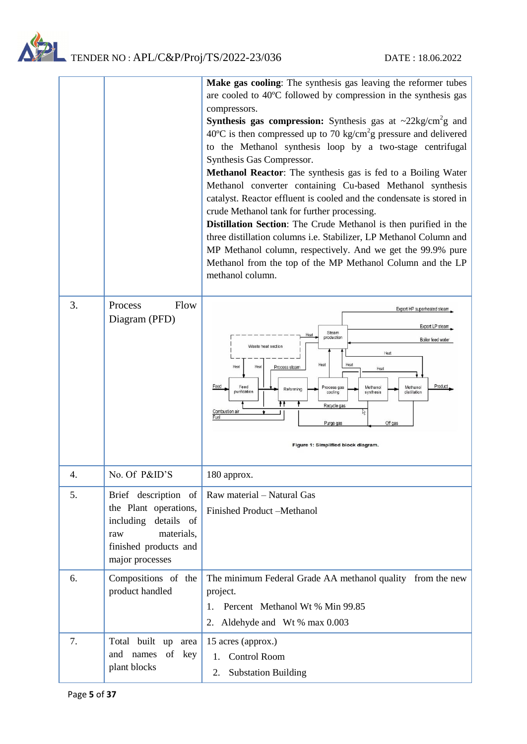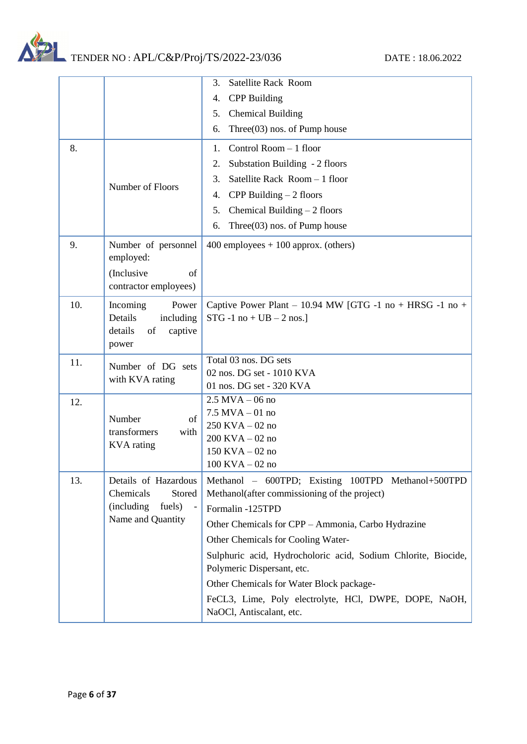

|     |                                           | <b>Satellite Rack Room</b><br>3.                                                            |
|-----|-------------------------------------------|---------------------------------------------------------------------------------------------|
|     |                                           | <b>CPP</b> Building<br>4.                                                                   |
|     |                                           | 5.<br><b>Chemical Building</b>                                                              |
|     |                                           | Three $(03)$ nos. of Pump house<br>6.                                                       |
| 8.  |                                           | Control Room - 1 floor<br>1.                                                                |
|     |                                           | Substation Building - 2 floors<br>2.                                                        |
|     |                                           | Satellite Rack Room - 1 floor<br>3.                                                         |
|     | Number of Floors                          | CPP Building $-2$ floors<br>4.                                                              |
|     |                                           | 5.<br>Chemical Building $-2$ floors                                                         |
|     |                                           | Three $(03)$ nos. of Pump house<br>6.                                                       |
| 9.  | Number of personnel<br>employed:          | $400$ employees $+100$ approx. (others)                                                     |
|     | (Inclusive<br>of<br>contractor employees) |                                                                                             |
| 10. | Incoming<br>Power                         | Captive Power Plant – 10.94 MW [GTG -1 no + HRSG -1 no +                                    |
|     | Details<br>including                      | $STG - 1$ no + $UB - 2$ nos.]                                                               |
|     | details<br>of<br>captive                  |                                                                                             |
|     | power                                     |                                                                                             |
| 11. | Number of DG sets                         | Total 03 nos. DG sets                                                                       |
|     | with KVA rating                           | 02 nos. DG set - 1010 KVA                                                                   |
|     |                                           | 01 nos. DG set - 320 KVA<br>$2.5$ MVA $-$ 06 no                                             |
| 12. |                                           | $7.5$ MVA $-01$ no                                                                          |
|     | Number<br>of                              | 250 KVA - 02 no                                                                             |
|     | transformers<br>with                      | $200$ KVA $-02$ no                                                                          |
|     | <b>KVA</b> rating                         | $150$ KVA $-02$ no                                                                          |
|     |                                           | $100$ KVA $-02$ no                                                                          |
| 13. | Details of Hazardous                      | Methanol - 600TPD; Existing 100TPD Methanol+500TPD                                          |
|     | Chemicals<br>Stored                       | Methanol(after commissioning of the project)                                                |
|     | (including<br>fuels)                      | Formalin -125TPD                                                                            |
|     | Name and Quantity                         | Other Chemicals for CPP - Ammonia, Carbo Hydrazine                                          |
|     |                                           | Other Chemicals for Cooling Water-                                                          |
|     |                                           | Sulphuric acid, Hydrocholoric acid, Sodium Chlorite, Biocide,<br>Polymeric Dispersant, etc. |
|     |                                           | Other Chemicals for Water Block package-                                                    |
|     |                                           | FeCL3, Lime, Poly electrolyte, HCl, DWPE, DOPE, NaOH,                                       |
|     |                                           | NaOCl, Antiscalant, etc.                                                                    |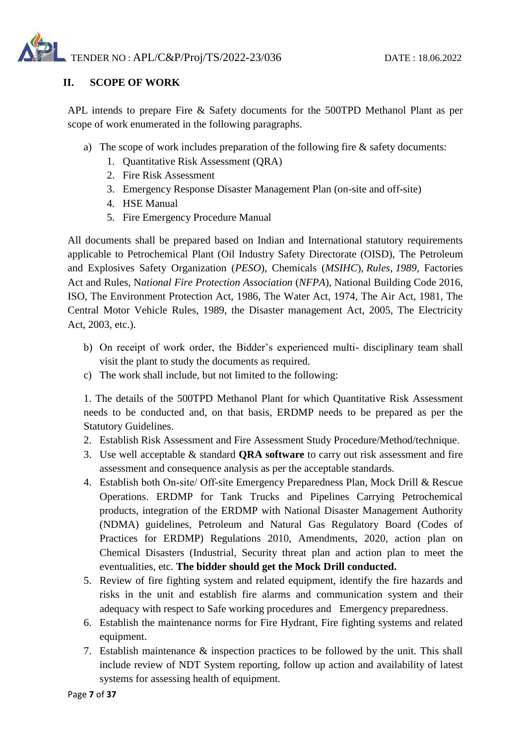

## **II. SCOPE OF WORK**

APL intends to prepare Fire & Safety documents for the 500TPD Methanol Plant as per scope of work enumerated in the following paragraphs.

- a) The scope of work includes preparation of the following fire & safety documents:
	- 1. Quantitative Risk Assessment (QRA)
	- 2. Fire Risk Assessment
	- 3. Emergency Response Disaster Management Plan (on-site and off-site)
	- 4. HSE Manual
	- 5. Fire Emergency Procedure Manual

All documents shall be prepared based on Indian and International statutory requirements applicable to Petrochemical Plant (Oil Industry Safety Directorate (OISD), The Petroleum and Explosives Safety Organization (*PESO*), Chemicals (*MSIHC*), *Rules*, *1989*, Factories Act and Rules, N*ational Fire Protection Association* (*NFPA*), National Building Code 2016, ISO, The Environment Protection Act, 1986, The Water Act, 1974, The Air Act, 1981, The Central Motor Vehicle Rules, 1989, the Disaster management Act, 2005, The Electricity Act, 2003, etc.).

- b) On receipt of work order, the Bidder's experienced multi- disciplinary team shall visit the plant to study the documents as required.
- c) The work shall include, but not limited to the following:

1. The details of the 500TPD Methanol Plant for which Quantitative Risk Assessment needs to be conducted and, on that basis, ERDMP needs to be prepared as per the Statutory Guidelines.

- 2. Establish Risk Assessment and Fire Assessment Study Procedure/Method/technique.
- 3. Use well acceptable & standard **QRA software** to carry out risk assessment and fire assessment and consequence analysis as per the acceptable standards.
- 4. Establish both On‐site/ Off-site Emergency Preparedness Plan, Mock Drill & Rescue Operations. ERDMP for Tank Trucks and Pipelines Carrying Petrochemical products, integration of the ERDMP with National Disaster Management Authority (NDMA) guidelines, Petroleum and Natural Gas Regulatory Board (Codes of Practices for ERDMP) Regulations 2010, Amendments, 2020, action plan on Chemical Disasters (Industrial, Security threat plan and action plan to meet the eventualities, etc. **The bidder should get the Mock Drill conducted.**
- 5. Review of fire fighting system and related equipment, identify the fire hazards and risks in the unit and establish fire alarms and communication system and their adequacy with respect to Safe working procedures and Emergency preparedness.
- 6. Establish the maintenance norms for Fire Hydrant, Fire fighting systems and related equipment.
- 7. Establish maintenance & inspection practices to be followed by the unit. This shall include review of NDT System reporting, follow up action and availability of latest systems for assessing health of equipment.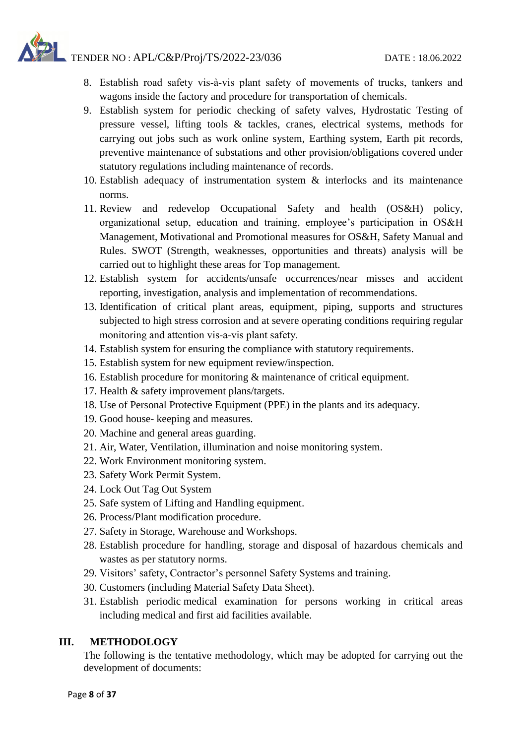- 8. Establish road safety vis‐à‐vis plant safety of movements of trucks, tankers and wagons inside the factory and procedure for transportation of chemicals.
- 9. Establish system for periodic checking of safety valves, Hydrostatic Testing of pressure vessel, lifting tools & tackles, cranes, electrical systems, methods for carrying out jobs such as work online system, Earthing system, Earth pit records, preventive maintenance of substations and other provision/obligations covered under statutory regulations including maintenance of records.
- 10. Establish adequacy of instrumentation system & interlocks and its maintenance norms.
- 11. Review and redevelop Occupational Safety and health (OS&H) policy, organizational setup, education and training, employee's participation in OS&H Management, Motivational and Promotional measures for OS&H, Safety Manual and Rules. SWOT (Strength, weaknesses, opportunities and threats) analysis will be carried out to highlight these areas for Top management.
- 12. Establish system for accidents/unsafe occurrences/near misses and accident reporting, investigation, analysis and implementation of recommendations.
- 13. Identification of critical plant areas, equipment, piping, supports and structures subjected to high stress corrosion and at severe operating conditions requiring regular monitoring and attention vis‐a‐vis plant safety.
- 14. Establish system for ensuring the compliance with statutory requirements.
- 15. Establish system for new equipment review/inspection.
- 16. Establish procedure for monitoring & maintenance of critical equipment.
- 17. Health & safety improvement plans/targets.
- 18. Use of Personal Protective Equipment (PPE) in the plants and its adequacy.
- 19. Good house- keeping and measures.
- 20. Machine and general areas guarding.
- 21. Air, Water, Ventilation, illumination and noise monitoring system.
- 22. Work Environment monitoring system.
- 23. Safety Work Permit System.
- 24. Lock Out Tag Out System
- 25. Safe system of Lifting and Handling equipment.
- 26. Process/Plant modification procedure.
- 27. Safety in Storage, Warehouse and Workshops.
- 28. Establish procedure for handling, storage and disposal of hazardous chemicals and wastes as per statutory norms.
- 29. Visitors' safety, Contractor's personnel Safety Systems and training.
- 30. Customers (including Material Safety Data Sheet).
- 31. Establish periodic medical examination for persons working in critical areas including medical and first aid facilities available.

#### **III. METHODOLOGY**

The following is the tentative methodology, which may be adopted for carrying out the development of documents: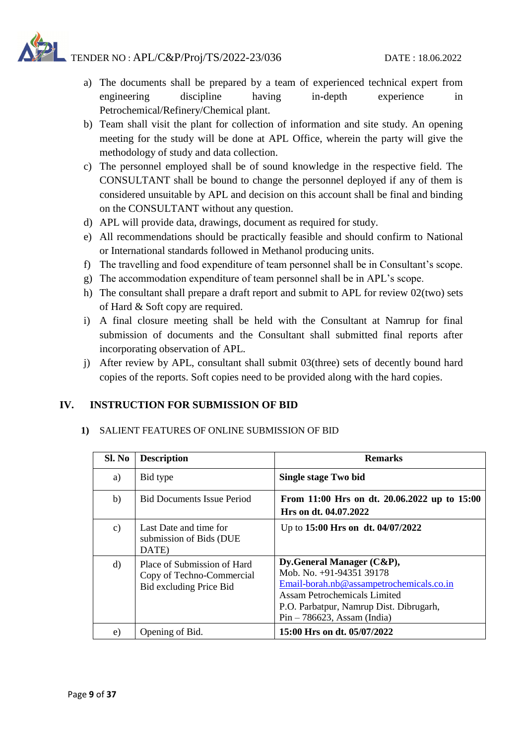- a) The documents shall be prepared by a team of experienced technical expert from engineering discipline having in-depth experience in Petrochemical/Refinery/Chemical plant.
- b) Team shall visit the plant for collection of information and site study. An opening meeting for the study will be done at APL Office, wherein the party will give the methodology of study and data collection.
- c) The personnel employed shall be of sound knowledge in the respective field. The CONSULTANT shall be bound to change the personnel deployed if any of them is considered unsuitable by APL and decision on this account shall be final and binding on the CONSULTANT without any question.
- d) APL will provide data, drawings, document as required for study.
- e) All recommendations should be practically feasible and should confirm to National or International standards followed in Methanol producing units.
- f) The travelling and food expenditure of team personnel shall be in Consultant's scope.
- g) The accommodation expenditure of team personnel shall be in APL's scope.
- h) The consultant shall prepare a draft report and submit to APL for review 02(two) sets of Hard & Soft copy are required.
- i) A final closure meeting shall be held with the Consultant at Namrup for final submission of documents and the Consultant shall submitted final reports after incorporating observation of APL.
- j) After review by APL, consultant shall submit 03(three) sets of decently bound hard copies of the reports. Soft copies need to be provided along with the hard copies.

## **IV. INSTRUCTION FOR SUBMISSION OF BID**

#### **1)** SALIENT FEATURES OF ONLINE SUBMISSION OF BID

| Sl. No        | <b>Description</b>                                                                  | <b>Remarks</b>                                                                                                                                                                                                       |
|---------------|-------------------------------------------------------------------------------------|----------------------------------------------------------------------------------------------------------------------------------------------------------------------------------------------------------------------|
| a)            | Bid type                                                                            | Single stage Two bid                                                                                                                                                                                                 |
| b)            | <b>Bid Documents Issue Period</b>                                                   | From 11:00 Hrs on dt. 20.06.2022 up to 15:00<br>Hrs on dt. 04.07.2022                                                                                                                                                |
| $\mathbf{c})$ | Last Date and time for<br>submission of Bids (DUE<br>DATE)                          | Up to 15:00 Hrs on dt. 04/07/2022                                                                                                                                                                                    |
| d)            | Place of Submission of Hard<br>Copy of Techno-Commercial<br>Bid excluding Price Bid | Dy. General Manager $(C\&P)$ ,<br>Mob. No. $+91-9435139178$<br>Email-borah.nb@assampetrochemicals.co.in<br>Assam Petrochemicals Limited<br>P.O. Parbatpur, Namrup Dist. Dibrugarh,<br>$Pin - 786623$ , Assam (India) |
| e)            | Opening of Bid.                                                                     | 15:00 Hrs on dt. 05/07/2022                                                                                                                                                                                          |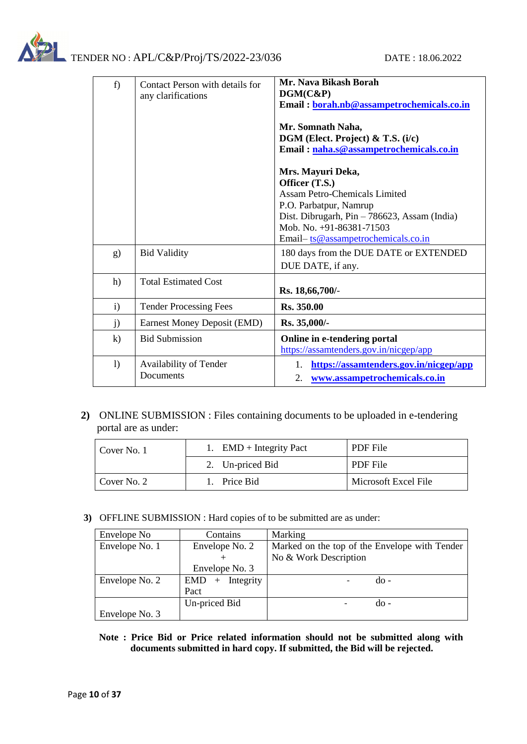

| f                | Contact Person with details for<br>any clarifications | Mr. Nava Bikash Borah<br>DGM(C&P)<br>Email: borah.nb@assampetrochemicals.co.in<br>Mr. Somnath Naha,<br>DGM (Elect. Project) & T.S. (i/c)<br>Email: naha.s@assampetrochemicals.co.in<br>Mrs. Mayuri Deka,<br>Officer (T.S.)<br><b>Assam Petro-Chemicals Limited</b><br>P.O. Parbatpur, Namrup<br>Dist. Dibrugarh, Pin - 786623, Assam (India)<br>Mob. No. +91-86381-71503<br>Email-ts@assampetrochemicals.co.in |
|------------------|-------------------------------------------------------|----------------------------------------------------------------------------------------------------------------------------------------------------------------------------------------------------------------------------------------------------------------------------------------------------------------------------------------------------------------------------------------------------------------|
| g)               | <b>Bid Validity</b>                                   | 180 days from the DUE DATE or EXTENDED<br>DUE DATE, if any.                                                                                                                                                                                                                                                                                                                                                    |
| h)               | <b>Total Estimated Cost</b>                           | Rs. 18,66,700/-                                                                                                                                                                                                                                                                                                                                                                                                |
| $\mathbf{i}$     | <b>Tender Processing Fees</b>                         | Rs. 350.00                                                                                                                                                                                                                                                                                                                                                                                                     |
| j)               | Earnest Money Deposit (EMD)                           | Rs. 35,000/-                                                                                                                                                                                                                                                                                                                                                                                                   |
| $\bf k$          | <b>Bid Submission</b>                                 | Online in e-tendering portal<br>https://assamtenders.gov.in/nicgep/app                                                                                                                                                                                                                                                                                                                                         |
| $\left( \right)$ | Availability of Tender<br>Documents                   | https://assamtenders.gov.in/nicgep/app<br>1.<br>2.<br>www.assampetrochemicals.co.in                                                                                                                                                                                                                                                                                                                            |

## **2)** ONLINE SUBMISSION : Files containing documents to be uploaded in e-tendering portal are as under:

| Cover No. 1 | 1. $EMD + Integrity$ Pact | PDF File             |
|-------------|---------------------------|----------------------|
|             | 2. Un-priced Bid          | PDF File             |
| Cover No. 2 | 1. Price Bid              | Microsoft Excel File |

**3)** OFFLINE SUBMISSION : Hard copies of to be submitted are as under:

| Envelope No    | Contains                       | Marking                                       |
|----------------|--------------------------------|-----------------------------------------------|
| Envelope No. 1 | Envelope No. 2                 | Marked on the top of the Envelope with Tender |
|                |                                | No & Work Description                         |
|                | Envelope No. 3                 |                                               |
| Envelope No. 2 | Integrity<br><b>EMD</b><br>$+$ | $d\Omega$ -                                   |
|                | Pact                           |                                               |
|                | Un-priced Bid                  | do -                                          |
| Envelope No. 3 |                                |                                               |

**Note : Price Bid or Price related information should not be submitted along with documents submitted in hard copy. If submitted, the Bid will be rejected.**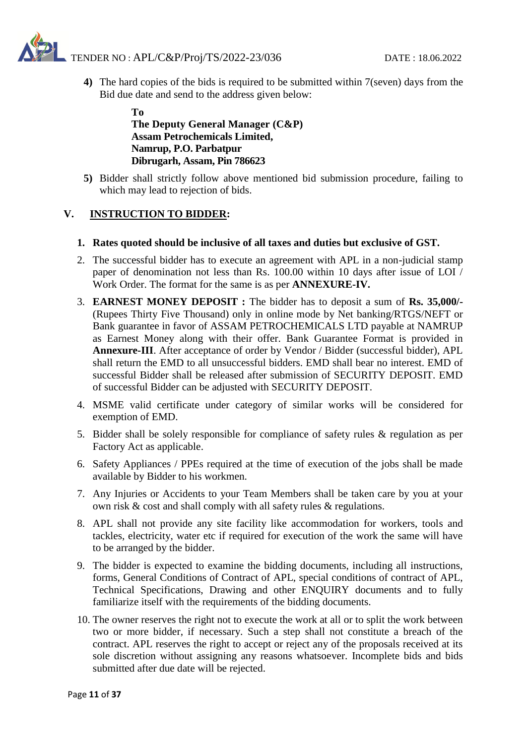**4)** The hard copies of the bids is required to be submitted within 7(seven) days from the Bid due date and send to the address given below:

#### **To The Deputy General Manager (C&P) Assam Petrochemicals Limited, Namrup, P.O. Parbatpur Dibrugarh, Assam, Pin 786623**

**5)** Bidder shall strictly follow above mentioned bid submission procedure, failing to which may lead to rejection of bids.

## **V. INSTRUCTION TO BIDDER:**

#### **1. Rates quoted should be inclusive of all taxes and duties but exclusive of GST.**

- 2. The successful bidder has to execute an agreement with APL in a non-judicial stamp paper of denomination not less than Rs. 100.00 within 10 days after issue of LOI / Work Order. The format for the same is as per **ANNEXURE-IV.**
- 3. **EARNEST MONEY DEPOSIT :** The bidder has to deposit a sum of **Rs. 35,000/-** (Rupees Thirty Five Thousand) only in online mode by Net banking/RTGS/NEFT or Bank guarantee in favor of ASSAM PETROCHEMICALS LTD payable at NAMRUP as Earnest Money along with their offer. Bank Guarantee Format is provided in **Annexure-III**. After acceptance of order by Vendor / Bidder (successful bidder), APL shall return the EMD to all unsuccessful bidders. EMD shall bear no interest. EMD of successful Bidder shall be released after submission of SECURITY DEPOSIT. EMD of successful Bidder can be adjusted with SECURITY DEPOSIT.
- 4. MSME valid certificate under category of similar works will be considered for exemption of EMD.
- 5. Bidder shall be solely responsible for compliance of safety rules & regulation as per Factory Act as applicable.
- 6. Safety Appliances / PPEs required at the time of execution of the jobs shall be made available by Bidder to his workmen.
- 7. Any Injuries or Accidents to your Team Members shall be taken care by you at your own risk & cost and shall comply with all safety rules & regulations.
- 8. APL shall not provide any site facility like accommodation for workers, tools and tackles, electricity, water etc if required for execution of the work the same will have to be arranged by the bidder.
- 9. The bidder is expected to examine the bidding documents, including all instructions, forms, General Conditions of Contract of APL, special conditions of contract of APL, Technical Specifications, Drawing and other ENQUIRY documents and to fully familiarize itself with the requirements of the bidding documents.
- 10. The owner reserves the right not to execute the work at all or to split the work between two or more bidder, if necessary. Such a step shall not constitute a breach of the contract. APL reserves the right to accept or reject any of the proposals received at its sole discretion without assigning any reasons whatsoever. Incomplete bids and bids submitted after due date will be rejected.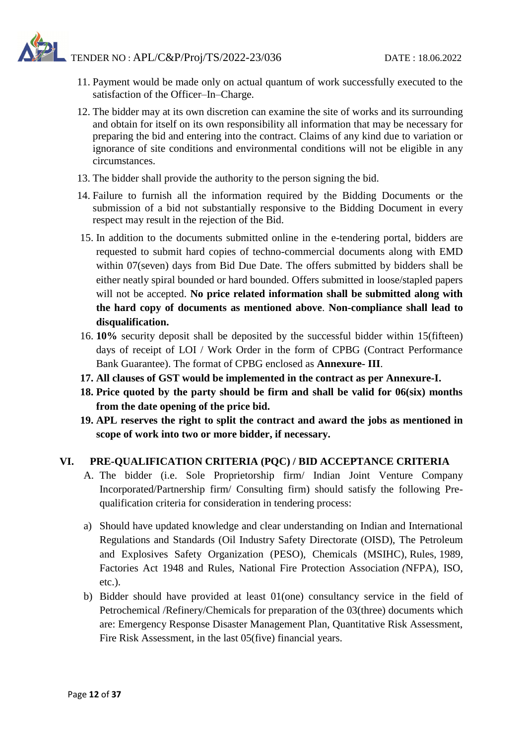- 11. Payment would be made only on actual quantum of work successfully executed to the satisfaction of the Officer–In–Charge.
- 12. The bidder may at its own discretion can examine the site of works and its surrounding and obtain for itself on its own responsibility all information that may be necessary for preparing the bid and entering into the contract. Claims of any kind due to variation or ignorance of site conditions and environmental conditions will not be eligible in any circumstances.
- 13. The bidder shall provide the authority to the person signing the bid.
- 14. Failure to furnish all the information required by the Bidding Documents or the submission of a bid not substantially responsive to the Bidding Document in every respect may result in the rejection of the Bid.
- 15. In addition to the documents submitted online in the e-tendering portal, bidders are requested to submit hard copies of techno-commercial documents along with EMD within 07(seven) days from Bid Due Date. The offers submitted by bidders shall be either neatly spiral bounded or hard bounded. Offers submitted in loose/stapled papers will not be accepted. **No price related information shall be submitted along with the hard copy of documents as mentioned above**. **Non-compliance shall lead to disqualification.**
- 16. **10%** security deposit shall be deposited by the successful bidder within 15(fifteen) days of receipt of LOI / Work Order in the form of CPBG (Contract Performance Bank Guarantee). The format of CPBG enclosed as **Annexure- III**.
- **17. All clauses of GST would be implemented in the contract as per Annexure-I.**
- **18. Price quoted by the party should be firm and shall be valid for 06(six) months from the date opening of the price bid.**
- **19. APL reserves the right to split the contract and award the jobs as mentioned in scope of work into two or more bidder, if necessary.**

## **VI. PRE-QUALIFICATION CRITERIA (PQC) / BID ACCEPTANCE CRITERIA**

- A. The bidder (i.e. Sole Proprietorship firm/ Indian Joint Venture Company Incorporated/Partnership firm/ Consulting firm) should satisfy the following Prequalification criteria for consideration in tendering process:
- a) Should have updated knowledge and clear understanding on Indian and International Regulations and Standards (Oil Industry Safety Directorate (OISD), The Petroleum and Explosives Safety Organization (PESO), Chemicals (MSIHC), Rules*,* 1989*,* Factories Act 1948 and Rules, National Fire Protection Association *(*NFPA), ISO, etc.).
- b) Bidder should have provided at least 01(one) consultancy service in the field of Petrochemical /Refinery/Chemicals for preparation of the 03(three) documents which are: Emergency Response Disaster Management Plan, Quantitative Risk Assessment, Fire Risk Assessment, in the last 05(five) financial years.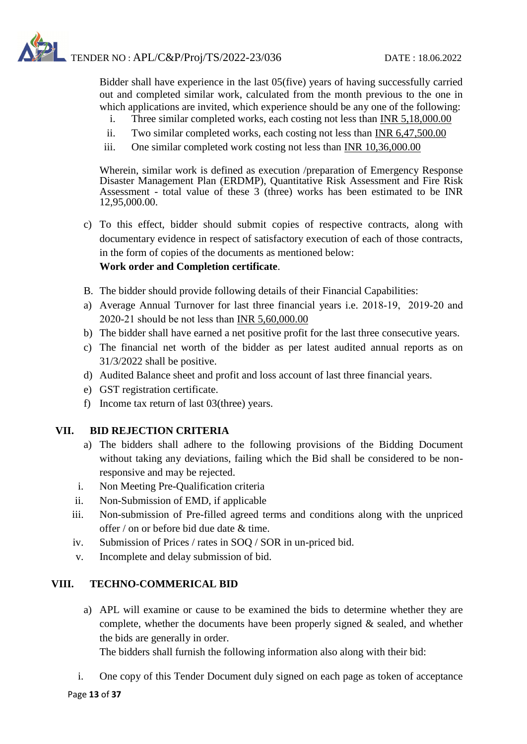Bidder shall have experience in the last 05(five) years of having successfully carried out and completed similar work, calculated from the month previous to the one in which applications are invited, which experience should be any one of the following:

- i. Three similar completed works, each costing not less than INR 5,18,000.00
- ii. Two similar completed works, each costing not less than INR 6,47,500.00
- iii. One similar completed work costing not less than INR 10,36,000.00

Wherein, similar work is defined as execution /preparation of Emergency Response Disaster Management Plan (ERDMP), Quantitative Risk Assessment and Fire Risk Assessment - total value of these  $3$  (three) works has been estimated to be INR 12,95,000.00.

- c) To this effect, bidder should submit copies of respective contracts, along with documentary evidence in respect of satisfactory execution of each of those contracts, in the form of copies of the documents as mentioned below: **Work order and Completion certificate**.
- B. The bidder should provide following details of their Financial Capabilities:
- a) Average Annual Turnover for last three financial years i.e. 2018‐19, 2019‐20 and 2020‐21 should be not less than INR 5,60,000.00
- b) The bidder shall have earned a net positive profit for the last three consecutive years.
- c) The financial net worth of the bidder as per latest audited annual reports as on 31/3/2022 shall be positive.
- d) Audited Balance sheet and profit and loss account of last three financial years.
- e) GST registration certificate.
- f) Income tax return of last 03(three) years.

## **VII. BID REJECTION CRITERIA**

- a) The bidders shall adhere to the following provisions of the Bidding Document without taking any deviations, failing which the Bid shall be considered to be nonresponsive and may be rejected.
- i. Non Meeting Pre-Qualification criteria
- ii. Non-Submission of EMD, if applicable
- iii. Non-submission of Pre-filled agreed terms and conditions along with the unpriced offer / on or before bid due date & time.
- iv. Submission of Prices / rates in SOQ / SOR in un-priced bid.
- v. Incomplete and delay submission of bid.

## **VIII. TECHNO-COMMERICAL BID**

a) APL will examine or cause to be examined the bids to determine whether they are complete, whether the documents have been properly signed & sealed, and whether the bids are generally in order.

The bidders shall furnish the following information also along with their bid:

i. One copy of this Tender Document duly signed on each page as token of acceptance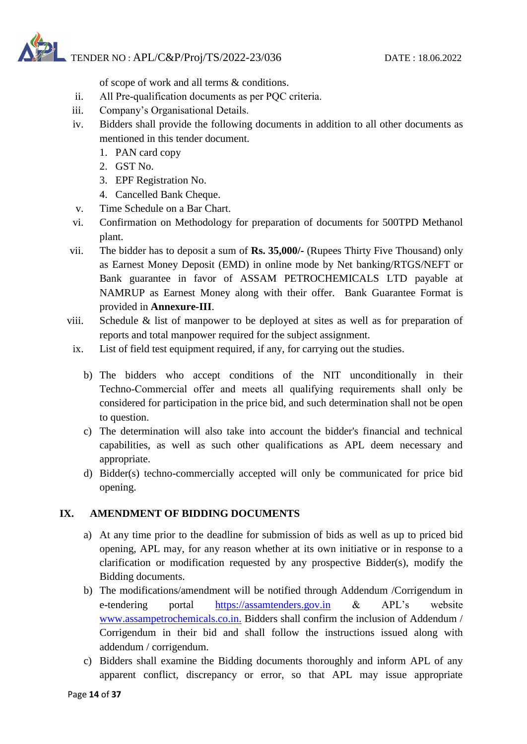of scope of work and all terms & conditions.

- ii. All Pre‐qualification documents as per PQC criteria.
- iii. Company's Organisational Details.
- iv. Bidders shall provide the following documents in addition to all other documents as mentioned in this tender document.
	- 1. PAN card copy
	- 2. GST No.
	- 3. EPF Registration No.
	- 4. Cancelled Bank Cheque.
- v. Time Schedule on a Bar Chart.
- vi. Confirmation on Methodology for preparation of documents for 500TPD Methanol plant.
- vii. The bidder has to deposit a sum of **Rs. 35,000/-** (Rupees Thirty Five Thousand) only as Earnest Money Deposit (EMD) in online mode by Net banking/RTGS/NEFT or Bank guarantee in favor of ASSAM PETROCHEMICALS LTD payable at NAMRUP as Earnest Money along with their offer. Bank Guarantee Format is provided in **Annexure-III**.
- viii. Schedule & list of manpower to be deployed at sites as well as for preparation of reports and total manpower required for the subject assignment.
- ix. List of field test equipment required, if any, for carrying out the studies.
	- b) The bidders who accept conditions of the NIT unconditionally in their Techno‐Commercial offer and meets all qualifying requirements shall only be considered for participation in the price bid, and such determination shall not be open to question.
	- c) The determination will also take into account the bidder's financial and technical capabilities, as well as such other qualifications as APL deem necessary and appropriate.
	- d) Bidder(s) techno-commercially accepted will only be communicated for price bid opening.

## **IX. AMENDMENT OF BIDDING DOCUMENTS**

- a) At any time prior to the deadline for submission of bids as well as up to priced bid opening, APL may, for any reason whether at its own initiative or in response to a clarification or modification requested by any prospective Bidder(s), modify the Bidding documents.
- b) The modifications/amendment will be notified through Addendum /Corrigendum in e-tendering portal https://assamtenders.gov.in & APL's website www.assampetrochemicals.co.in. Bidders shall confirm the inclusion of Addendum / Corrigendum in their bid and shall follow the instructions issued along with addendum / corrigendum.
- c) Bidders shall examine the Bidding documents thoroughly and inform APL of any apparent conflict, discrepancy or error, so that APL may issue appropriate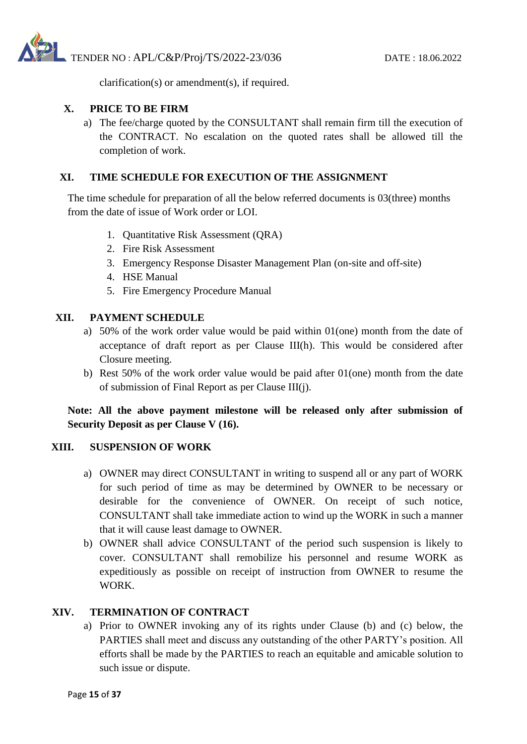

clarification(s) or amendment(s), if required.

## **X. PRICE TO BE FIRM**

a) The fee/charge quoted by the CONSULTANT shall remain firm till the execution of the CONTRACT. No escalation on the quoted rates shall be allowed till the completion of work.

## **XI. TIME SCHEDULE FOR EXECUTION OF THE ASSIGNMENT**

The time schedule for preparation of all the below referred documents is 03(three) months from the date of issue of Work order or LOI.

- 1. Quantitative Risk Assessment (QRA)
- 2. Fire Risk Assessment
- 3. Emergency Response Disaster Management Plan (on-site and off-site)
- 4. HSE Manual
- 5. Fire Emergency Procedure Manual

## **XII. PAYMENT SCHEDULE**

- a) 50% of the work order value would be paid within 01(one) month from the date of acceptance of draft report as per Clause III(h). This would be considered after Closure meeting.
- b) Rest 50% of the work order value would be paid after 01(one) month from the date of submission of Final Report as per Clause III(j).

## **Note: All the above payment milestone will be released only after submission of Security Deposit as per Clause V (16).**

## **XIII. SUSPENSION OF WORK**

- a) OWNER may direct CONSULTANT in writing to suspend all or any part of WORK for such period of time as may be determined by OWNER to be necessary or desirable for the convenience of OWNER. On receipt of such notice, CONSULTANT shall take immediate action to wind up the WORK in such a manner that it will cause least damage to OWNER.
- b) OWNER shall advice CONSULTANT of the period such suspension is likely to cover. CONSULTANT shall remobilize his personnel and resume WORK as expeditiously as possible on receipt of instruction from OWNER to resume the WORK.

## **XIV. TERMINATION OF CONTRACT**

a) Prior to OWNER invoking any of its rights under Clause (b) and (c) below, the PARTIES shall meet and discuss any outstanding of the other PARTY's position. All efforts shall be made by the PARTIES to reach an equitable and amicable solution to such issue or dispute.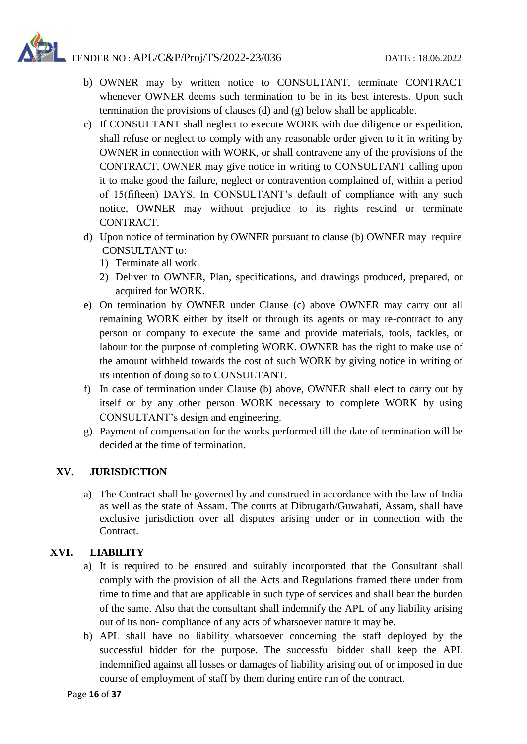- b) OWNER may by written notice to CONSULTANT, terminate CONTRACT whenever OWNER deems such termination to be in its best interests. Upon such termination the provisions of clauses (d) and (g) below shall be applicable.
- c) If CONSULTANT shall neglect to execute WORK with due diligence or expedition, shall refuse or neglect to comply with any reasonable order given to it in writing by OWNER in connection with WORK, or shall contravene any of the provisions of the CONTRACT, OWNER may give notice in writing to CONSULTANT calling upon it to make good the failure, neglect or contravention complained of, within a period of 15(fifteen) DAYS. In CONSULTANT's default of compliance with any such notice, OWNER may without prejudice to its rights rescind or terminate CONTRACT.
- d) Upon notice of termination by OWNER pursuant to clause (b) OWNER may require CONSULTANT to:
	- 1) Terminate all work
	- 2) Deliver to OWNER, Plan, specifications, and drawings produced, prepared, or acquired for WORK.
- e) On termination by OWNER under Clause (c) above OWNER may carry out all remaining WORK either by itself or through its agents or may re-contract to any person or company to execute the same and provide materials, tools, tackles, or labour for the purpose of completing WORK. OWNER has the right to make use of the amount withheld towards the cost of such WORK by giving notice in writing of its intention of doing so to CONSULTANT.
- f) In case of termination under Clause (b) above, OWNER shall elect to carry out by itself or by any other person WORK necessary to complete WORK by using CONSULTANT's design and engineering.
- g) Payment of compensation for the works performed till the date of termination will be decided at the time of termination.

## **XV. JURISDICTION**

a) The Contract shall be governed by and construed in accordance with the law of India as well as the state of Assam. The courts at Dibrugarh/Guwahati, Assam, shall have exclusive jurisdiction over all disputes arising under or in connection with the Contract.

## **XVI. LIABILITY**

- a) It is required to be ensured and suitably incorporated that the Consultant shall comply with the provision of all the Acts and Regulations framed there under from time to time and that are applicable in such type of services and shall bear the burden of the same. Also that the consultant shall indemnify the APL of any liability arising out of its non- compliance of any acts of whatsoever nature it may be.
- b) APL shall have no liability whatsoever concerning the staff deployed by the successful bidder for the purpose. The successful bidder shall keep the APL indemnified against all losses or damages of liability arising out of or imposed in due course of employment of staff by them during entire run of the contract.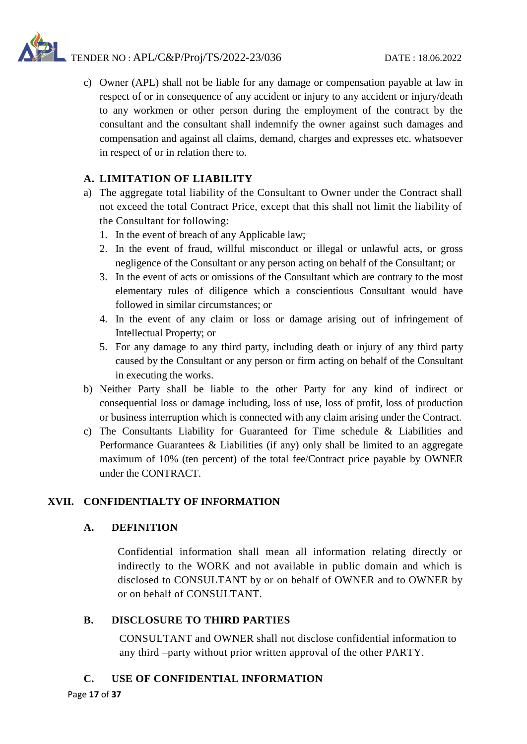c) Owner (APL) shall not be liable for any damage or compensation payable at law in respect of or in consequence of any accident or injury to any accident or injury/death to any workmen or other person during the employment of the contract by the consultant and the consultant shall indemnify the owner against such damages and compensation and against all claims, demand, charges and expresses etc. whatsoever in respect of or in relation there to.

## **A. LIMITATION OF LIABILITY**

- a) The aggregate total liability of the Consultant to Owner under the Contract shall not exceed the total Contract Price, except that this shall not limit the liability of the Consultant for following:
	- 1. In the event of breach of any Applicable law;
	- 2. In the event of fraud, willful misconduct or illegal or unlawful acts, or gross negligence of the Consultant or any person acting on behalf of the Consultant; or
	- 3. In the event of acts or omissions of the Consultant which are contrary to the most elementary rules of diligence which a conscientious Consultant would have followed in similar circumstances; or
	- 4. In the event of any claim or loss or damage arising out of infringement of Intellectual Property; or
	- 5. For any damage to any third party, including death or injury of any third party caused by the Consultant or any person or firm acting on behalf of the Consultant in executing the works.
- b) Neither Party shall be liable to the other Party for any kind of indirect or consequential loss or damage including, loss of use, loss of profit, loss of production or business interruption which is connected with any claim arising under the Contract.
- c) The Consultants Liability for Guaranteed for Time schedule & Liabilities and Performance Guarantees & Liabilities (if any) only shall be limited to an aggregate maximum of 10% (ten percent) of the total fee/Contract price payable by OWNER under the CONTRACT.

## **XVII. CONFIDENTIALTY OF INFORMATION**

## **A. DEFINITION**

Confidential information shall mean all information relating directly or indirectly to the WORK and not available in public domain and which is disclosed to CONSULTANT by or on behalf of OWNER and to OWNER by or on behalf of CONSULTANT.

## **B. DISCLOSURE TO THIRD PARTIES**

CONSULTANT and OWNER shall not disclose confidential information to any third –party without prior written approval of the other PARTY.

## **C. USE OF CONFIDENTIAL INFORMATION**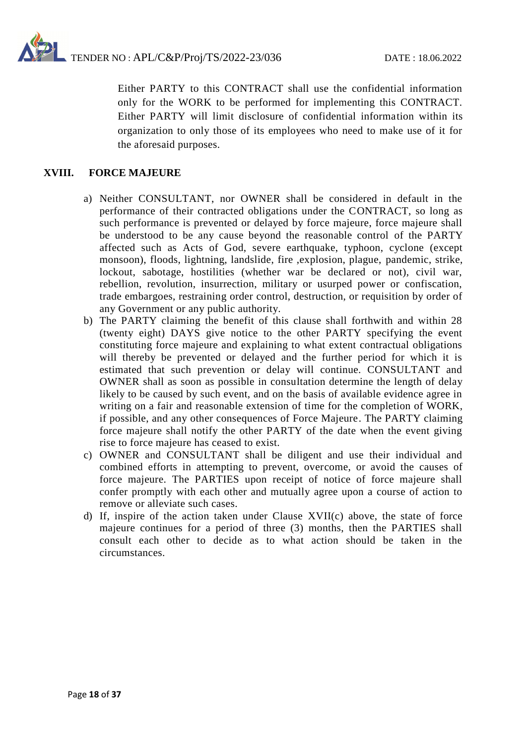

Either PARTY to this CONTRACT shall use the confidential information only for the WORK to be performed for implementing this CONTRACT. Either PARTY will limit disclosure of confidential information within its organization to only those of its employees who need to make use of it for the aforesaid purposes.

#### **XVIII. FORCE MAJEURE**

- a) Neither CONSULTANT, nor OWNER shall be considered in default in the performance of their contracted obligations under the CONTRACT, so long as such performance is prevented or delayed by force majeure, force majeure shall be understood to be any cause beyond the reasonable control of the PARTY affected such as Acts of God, severe earthquake, typhoon, cyclone (except monsoon), floods, lightning, landslide, fire ,explosion, plague, pandemic, strike, lockout, sabotage, hostilities (whether war be declared or not), civil war, rebellion, revolution, insurrection, military or usurped power or confiscation, trade embargoes, restraining order control, destruction, or requisition by order of any Government or any public authority.
- b) The PARTY claiming the benefit of this clause shall forthwith and within 28 (twenty eight) DAYS give notice to the other PARTY specifying the event constituting force majeure and explaining to what extent contractual obligations will thereby be prevented or delayed and the further period for which it is estimated that such prevention or delay will continue. CONSULTANT and OWNER shall as soon as possible in consultation determine the length of delay likely to be caused by such event, and on the basis of available evidence agree in writing on a fair and reasonable extension of time for the completion of WORK, if possible, and any other consequences of Force Majeure. The PARTY claiming force majeure shall notify the other PARTY of the date when the event giving rise to force majeure has ceased to exist.
- c) OWNER and CONSULTANT shall be diligent and use their individual and combined efforts in attempting to prevent, overcome, or avoid the causes of force majeure. The PARTIES upon receipt of notice of force majeure shall confer promptly with each other and mutually agree upon a course of action to remove or alleviate such cases.
- d) If, inspire of the action taken under Clause XVII(c) above, the state of force majeure continues for a period of three (3) months, then the PARTIES shall consult each other to decide as to what action should be taken in the circumstances.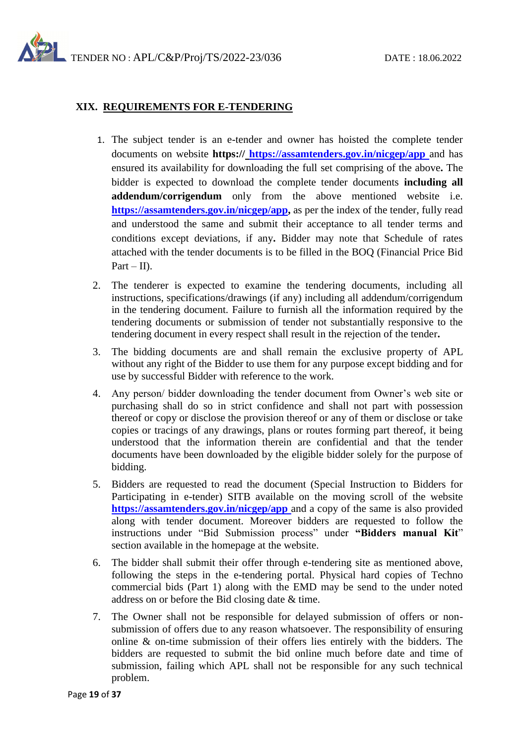## **XIX. REQUIREMENTS FOR E-TENDERING**

- 1. The subject tender is an e-tender and owner has hoisted the complete tender documents on website **https:// <https://assamtenders.gov.in/nicgep/app>** and has ensured its availability for downloading the full set comprising of the above**.** The bidder is expected to download the complete tender documents **including all addendum/corrigendum** only from the above mentioned website i.e. **[https://assamtenders.gov.in/nicgep/app,](https://assamtenders.gov.in/nicgep/app)** as per the index of the tender, fully read and understood the same and submit their acceptance to all tender terms and conditions except deviations, if any**.** Bidder may note that Schedule of rates attached with the tender documents is to be filled in the BOQ (Financial Price Bid  $Part - II$ ).
- 2. The tenderer is expected to examine the tendering documents, including all instructions, specifications/drawings (if any) including all addendum/corrigendum in the tendering document. Failure to furnish all the information required by the tendering documents or submission of tender not substantially responsive to the tendering document in every respect shall result in the rejection of the tender**.**
- 3. The bidding documents are and shall remain the exclusive property of APL without any right of the Bidder to use them for any purpose except bidding and for use by successful Bidder with reference to the work.
- 4. Any person/ bidder downloading the tender document from Owner's web site or purchasing shall do so in strict confidence and shall not part with possession thereof or copy or disclose the provision thereof or any of them or disclose or take copies or tracings of any drawings, plans or routes forming part thereof, it being understood that the information therein are confidential and that the tender documents have been downloaded by the eligible bidder solely for the purpose of bidding.
- 5. Bidders are requested to read the document (Special Instruction to Bidders for Participating in e-tender) SITB available on the moving scroll of the website **<https://assamtenders.gov.in/nicgep/app>** and a copy of the same is also provided along with tender document. Moreover bidders are requested to follow the instructions under "Bid Submission process" under **"Bidders manual Kit**" section available in the homepage at the website.
- 6. The bidder shall submit their offer through e-tendering site as mentioned above, following the steps in the e-tendering portal. Physical hard copies of Techno commercial bids (Part 1) along with the EMD may be send to the under noted address on or before the Bid closing date & time.
- 7. The Owner shall not be responsible for delayed submission of offers or nonsubmission of offers due to any reason whatsoever. The responsibility of ensuring online & on-time submission of their offers lies entirely with the bidders. The bidders are requested to submit the bid online much before date and time of submission, failing which APL shall not be responsible for any such technical problem.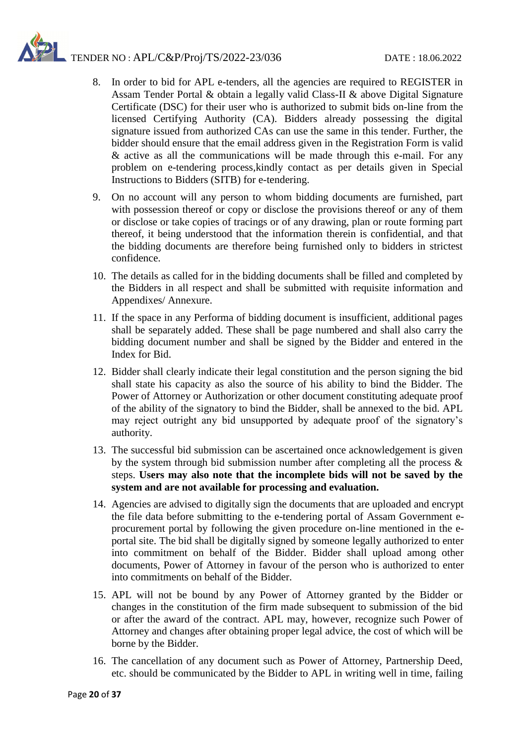- 8. In order to bid for APL e-tenders, all the agencies are required to REGISTER in Assam Tender Portal & obtain a legally valid Class-II & above Digital Signature Certificate (DSC) for their user who is authorized to submit bids on-line from the licensed Certifying Authority (CA). Bidders already possessing the digital signature issued from authorized CAs can use the same in this tender. Further, the bidder should ensure that the email address given in the Registration Form is valid & active as all the communications will be made through this e-mail. For any problem on e-tendering process,kindly contact as per details given in Special Instructions to Bidders (SITB) for e-tendering.
- 9. On no account will any person to whom bidding documents are furnished, part with possession thereof or copy or disclose the provisions thereof or any of them or disclose or take copies of tracings or of any drawing, plan or route forming part thereof, it being understood that the information therein is confidential, and that the bidding documents are therefore being furnished only to bidders in strictest confidence.
- 10. The details as called for in the bidding documents shall be filled and completed by the Bidders in all respect and shall be submitted with requisite information and Appendixes/ Annexure.
- 11. If the space in any Performa of bidding document is insufficient, additional pages shall be separately added. These shall be page numbered and shall also carry the bidding document number and shall be signed by the Bidder and entered in the Index for Bid.
- 12. Bidder shall clearly indicate their legal constitution and the person signing the bid shall state his capacity as also the source of his ability to bind the Bidder. The Power of Attorney or Authorization or other document constituting adequate proof of the ability of the signatory to bind the Bidder, shall be annexed to the bid. APL may reject outright any bid unsupported by adequate proof of the signatory's authority.
- 13. The successful bid submission can be ascertained once acknowledgement is given by the system through bid submission number after completing all the process  $\&$ steps. **Users may also note that the incomplete bids will not be saved by the system and are not available for processing and evaluation.**
- 14. Agencies are advised to digitally sign the documents that are uploaded and encrypt the file data before submitting to the e-tendering portal of Assam Government eprocurement portal by following the given procedure on-line mentioned in the eportal site. The bid shall be digitally signed by someone legally authorized to enter into commitment on behalf of the Bidder. Bidder shall upload among other documents, Power of Attorney in favour of the person who is authorized to enter into commitments on behalf of the Bidder.
- 15. APL will not be bound by any Power of Attorney granted by the Bidder or changes in the constitution of the firm made subsequent to submission of the bid or after the award of the contract. APL may, however, recognize such Power of Attorney and changes after obtaining proper legal advice, the cost of which will be borne by the Bidder.
- 16. The cancellation of any document such as Power of Attorney, Partnership Deed, etc. should be communicated by the Bidder to APL in writing well in time, failing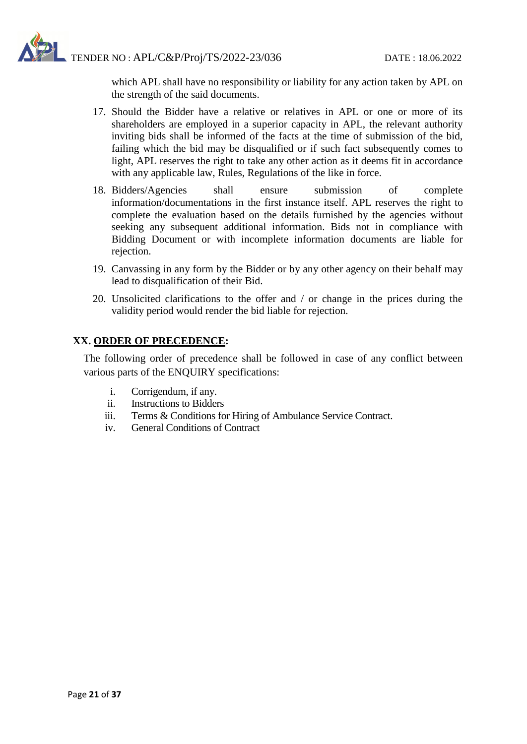

which APL shall have no responsibility or liability for any action taken by APL on the strength of the said documents.

- 17. Should the Bidder have a relative or relatives in APL or one or more of its shareholders are employed in a superior capacity in APL, the relevant authority inviting bids shall be informed of the facts at the time of submission of the bid, failing which the bid may be disqualified or if such fact subsequently comes to light, APL reserves the right to take any other action as it deems fit in accordance with any applicable law, Rules, Regulations of the like in force.
- 18. Bidders/Agencies shall ensure submission of complete information/documentations in the first instance itself. APL reserves the right to complete the evaluation based on the details furnished by the agencies without seeking any subsequent additional information. Bids not in compliance with Bidding Document or with incomplete information documents are liable for rejection.
- 19. Canvassing in any form by the Bidder or by any other agency on their behalf may lead to disqualification of their Bid.
- 20. Unsolicited clarifications to the offer and / or change in the prices during the validity period would render the bid liable for rejection.

## **XX. ORDER OF PRECEDENCE:**

The following order of precedence shall be followed in case of any conflict between various parts of the ENQUIRY specifications:

- i. Corrigendum, if any.
- ii. Instructions to Bidders
- iii. Terms & Conditions for Hiring of Ambulance Service Contract.
- iv. General Conditions of Contract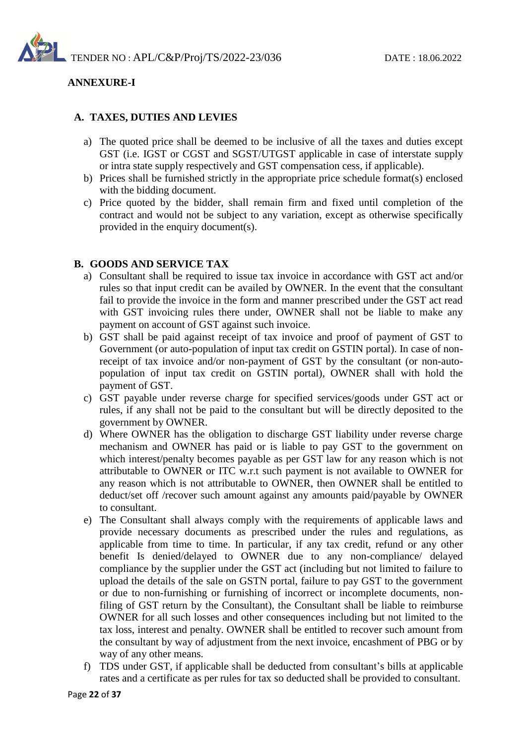

#### **ANNEXURE-I**

#### **A. TAXES, DUTIES AND LEVIES**

- a) The quoted price shall be deemed to be inclusive of all the taxes and duties except GST (i.e. IGST or CGST and SGST/UTGST applicable in case of interstate supply or intra state supply respectively and GST compensation cess, if applicable).
- b) Prices shall be furnished strictly in the appropriate price schedule format(s) enclosed with the bidding document.
- c) Price quoted by the bidder, shall remain firm and fixed until completion of the contract and would not be subject to any variation, except as otherwise specifically provided in the enquiry document(s).

#### **B. GOODS AND SERVICE TAX**

- a) Consultant shall be required to issue tax invoice in accordance with GST act and/or rules so that input credit can be availed by OWNER. In the event that the consultant fail to provide the invoice in the form and manner prescribed under the GST act read with GST invoicing rules there under, OWNER shall not be liable to make any payment on account of GST against such invoice.
- b) GST shall be paid against receipt of tax invoice and proof of payment of GST to Government (or auto-population of input tax credit on GSTIN portal). In case of nonreceipt of tax invoice and/or non-payment of GST by the consultant (or non-autopopulation of input tax credit on GSTIN portal), OWNER shall with hold the payment of GST.
- c) GST payable under reverse charge for specified services/goods under GST act or rules, if any shall not be paid to the consultant but will be directly deposited to the government by OWNER.
- d) Where OWNER has the obligation to discharge GST liability under reverse charge mechanism and OWNER has paid or is liable to pay GST to the government on which interest/penalty becomes payable as per GST law for any reason which is not attributable to OWNER or ITC w.r.t such payment is not available to OWNER for any reason which is not attributable to OWNER, then OWNER shall be entitled to deduct/set off /recover such amount against any amounts paid/payable by OWNER to consultant.
- e) The Consultant shall always comply with the requirements of applicable laws and provide necessary documents as prescribed under the rules and regulations, as applicable from time to time. In particular, if any tax credit, refund or any other benefit Is denied/delayed to OWNER due to any non-compliance/ delayed compliance by the supplier under the GST act (including but not limited to failure to upload the details of the sale on GSTN portal, failure to pay GST to the government or due to non-furnishing or furnishing of incorrect or incomplete documents, nonfiling of GST return by the Consultant), the Consultant shall be liable to reimburse OWNER for all such losses and other consequences including but not limited to the tax loss, interest and penalty. OWNER shall be entitled to recover such amount from the consultant by way of adjustment from the next invoice, encashment of PBG or by way of any other means.
- f) TDS under GST, if applicable shall be deducted from consultant's bills at applicable rates and a certificate as per rules for tax so deducted shall be provided to consultant.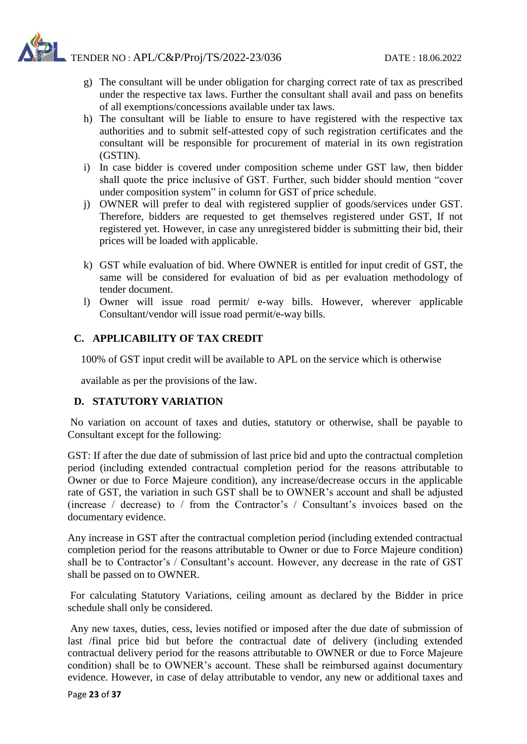- g) The consultant will be under obligation for charging correct rate of tax as prescribed under the respective tax laws. Further the consultant shall avail and pass on benefits of all exemptions/concessions available under tax laws.
- h) The consultant will be liable to ensure to have registered with the respective tax authorities and to submit self-attested copy of such registration certificates and the consultant will be responsible for procurement of material in its own registration (GSTIN).
- i) In case bidder is covered under composition scheme under GST law, then bidder shall quote the price inclusive of GST. Further, such bidder should mention "cover under composition system" in column for GST of price schedule.
- j) OWNER will prefer to deal with registered supplier of goods/services under GST. Therefore, bidders are requested to get themselves registered under GST, If not registered yet. However, in case any unregistered bidder is submitting their bid, their prices will be loaded with applicable.
- k) GST while evaluation of bid. Where OWNER is entitled for input credit of GST, the same will be considered for evaluation of bid as per evaluation methodology of tender document.
- l) Owner will issue road permit/ e-way bills. However, wherever applicable Consultant/vendor will issue road permit/e-way bills.

## **C. APPLICABILITY OF TAX CREDIT**

100% of GST input credit will be available to APL on the service which is otherwise

available as per the provisions of the law.

#### **D. STATUTORY VARIATION**

No variation on account of taxes and duties, statutory or otherwise, shall be payable to Consultant except for the following:

GST: If after the due date of submission of last price bid and upto the contractual completion period (including extended contractual completion period for the reasons attributable to Owner or due to Force Majeure condition), any increase/decrease occurs in the applicable rate of GST, the variation in such GST shall be to OWNER's account and shall be adjusted (increase / decrease) to / from the Contractor's / Consultant's invoices based on the documentary evidence.

Any increase in GST after the contractual completion period (including extended contractual completion period for the reasons attributable to Owner or due to Force Majeure condition) shall be to Contractor's / Consultant's account. However, any decrease in the rate of GST shall be passed on to OWNER.

For calculating Statutory Variations, ceiling amount as declared by the Bidder in price schedule shall only be considered.

Any new taxes, duties, cess, levies notified or imposed after the due date of submission of last /final price bid but before the contractual date of delivery (including extended contractual delivery period for the reasons attributable to OWNER or due to Force Majeure condition) shall be to OWNER's account. These shall be reimbursed against documentary evidence. However, in case of delay attributable to vendor, any new or additional taxes and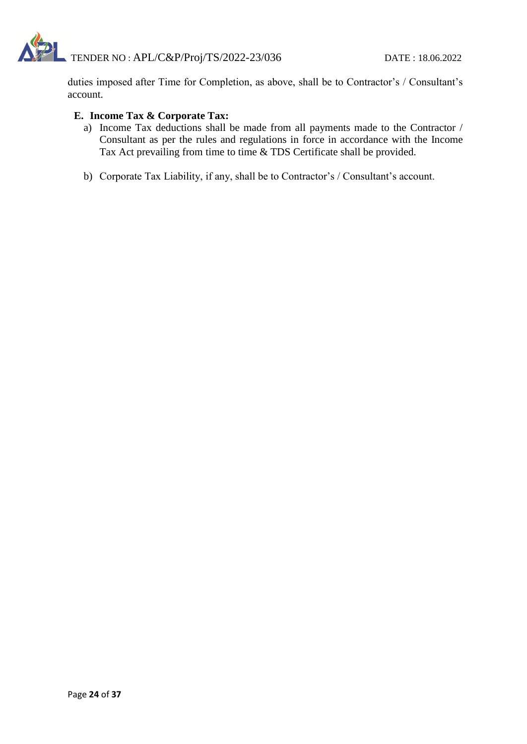

duties imposed after Time for Completion, as above, shall be to Contractor's / Consultant's account.

#### **E. Income Tax & Corporate Tax:**

- a) Income Tax deductions shall be made from all payments made to the Contractor / Consultant as per the rules and regulations in force in accordance with the Income Tax Act prevailing from time to time & TDS Certificate shall be provided.
- b) Corporate Tax Liability, if any, shall be to Contractor's / Consultant's account.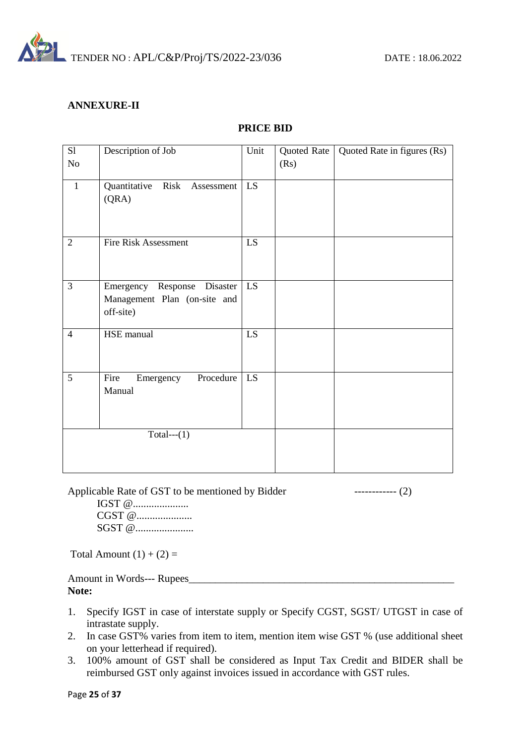

#### **ANNEXURE-II**

| S1             | Description of Job             | Unit            | Quoted Rate | Quoted Rate in figures (Rs) |
|----------------|--------------------------------|-----------------|-------------|-----------------------------|
| No             |                                |                 | (Rs)        |                             |
|                |                                |                 |             |                             |
| $\mathbf{1}$   | Quantitative Risk Assessment   | LS              |             |                             |
|                | (QRA)                          |                 |             |                             |
|                |                                |                 |             |                             |
|                |                                |                 |             |                             |
| $\overline{2}$ | Fire Risk Assessment           | LS.             |             |                             |
|                |                                |                 |             |                             |
|                |                                |                 |             |                             |
| 3              | Emergency Response Disaster    | LS.             |             |                             |
|                | Management Plan (on-site and   |                 |             |                             |
|                | off-site)                      |                 |             |                             |
| $\overline{4}$ | HSE manual                     | $\overline{LS}$ |             |                             |
|                |                                |                 |             |                             |
|                |                                |                 |             |                             |
| 5              | Procedure<br>Fire<br>Emergency | LS              |             |                             |
|                | Manual                         |                 |             |                             |
|                |                                |                 |             |                             |
|                |                                |                 |             |                             |
|                | Total--- $(1)$                 |                 |             |                             |
|                |                                |                 |             |                             |
|                |                                |                 |             |                             |
|                |                                |                 |             |                             |

Applicable Rate of GST to be mentioned by Bidder ------------- (2)

IGST @...................... CGST @........................ SGST @......................

Total Amount  $(1) + (2) =$ 

Amount in Words--- Rupees\_\_\_\_\_\_\_\_\_\_\_\_\_\_\_\_\_\_\_\_\_\_\_\_\_\_\_\_\_\_\_\_\_\_\_\_\_\_\_\_\_\_\_\_\_\_\_\_\_\_ **Note:**

- 1. Specify IGST in case of interstate supply or Specify CGST, SGST/ UTGST in case of intrastate supply.
- 2. In case GST% varies from item to item, mention item wise GST % (use additional sheet on your letterhead if required).
- 3. 100% amount of GST shall be considered as Input Tax Credit and BIDER shall be reimbursed GST only against invoices issued in accordance with GST rules.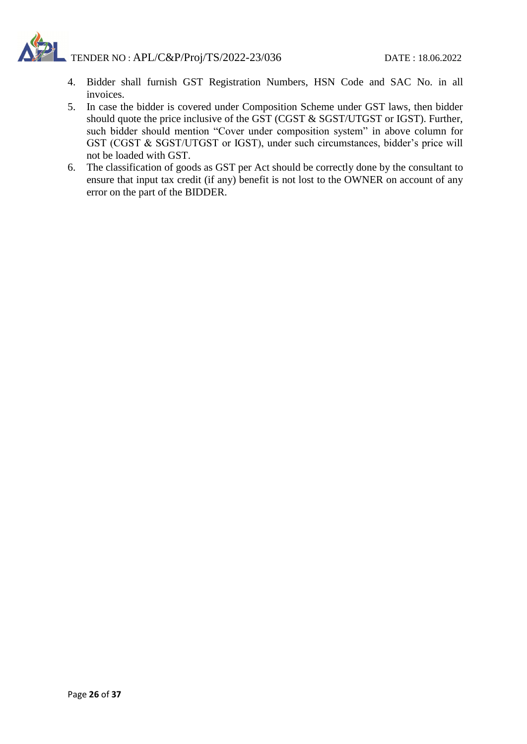- 4. Bidder shall furnish GST Registration Numbers, HSN Code and SAC No. in all invoices.
- 5. In case the bidder is covered under Composition Scheme under GST laws, then bidder should quote the price inclusive of the GST (CGST & SGST/UTGST or IGST). Further, such bidder should mention "Cover under composition system" in above column for GST (CGST & SGST/UTGST or IGST), under such circumstances, bidder's price will not be loaded with GST.
- 6. The classification of goods as GST per Act should be correctly done by the consultant to ensure that input tax credit (if any) benefit is not lost to the OWNER on account of any error on the part of the BIDDER.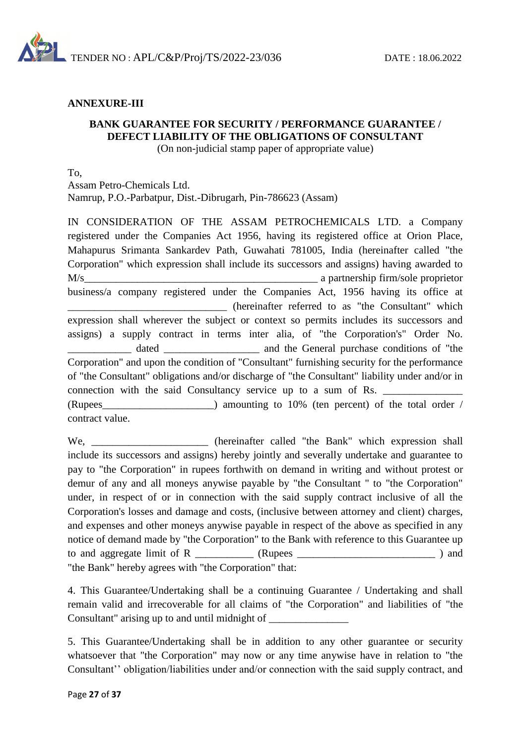

#### **ANNEXURE-III**

## **BANK GUARANTEE FOR SECURITY / PERFORMANCE GUARANTEE / DEFECT LIABILITY OF THE OBLIGATIONS OF CONSULTANT**

(On non-judicial stamp paper of appropriate value)

To,

Assam Petro-Chemicals Ltd.

Namrup, P.O.-Parbatpur, Dist.-Dibrugarh, Pin-786623 (Assam)

IN CONSIDERATION OF THE ASSAM PETROCHEMICALS LTD. a Company registered under the Companies Act 1956, having its registered office at Orion Place, Mahapurus Srimanta Sankardev Path, Guwahati 781005, India (hereinafter called "the Corporation" which expression shall include its successors and assigns) having awarded to M/s business/a company registered under the Companies Act, 1956 having its office at \_\_\_\_\_\_\_\_\_\_\_\_\_\_\_\_\_\_\_\_\_\_\_\_\_\_\_\_\_\_ (hereinafter referred to as "the Consultant" which expression shall wherever the subject or context so permits includes its successors and assigns) a supply contract in terms inter alia, of "the Corporation's" Order No. \_\_\_\_\_\_\_\_\_\_\_\_ dated \_\_\_\_\_\_\_\_\_\_\_\_\_\_\_\_\_\_ and the General purchase conditions of "the Corporation" and upon the condition of "Consultant" furnishing security for the performance of "the Consultant" obligations and/or discharge of "the Consultant" liability under and/or in connection with the said Consultancy service up to a sum of Rs. (Rupees\_\_\_\_\_\_\_\_\_\_\_\_\_\_\_\_\_\_\_\_\_) amounting to 10% (ten percent) of the total order / contract value.

We, \_\_\_\_\_\_\_\_\_\_\_\_\_\_\_\_\_\_\_\_\_\_ (hereinafter called "the Bank" which expression shall include its successors and assigns) hereby jointly and severally undertake and guarantee to pay to "the Corporation" in rupees forthwith on demand in writing and without protest or demur of any and all moneys anywise payable by "the Consultant " to "the Corporation" under, in respect of or in connection with the said supply contract inclusive of all the Corporation's losses and damage and costs, (inclusive between attorney and client) charges, and expenses and other moneys anywise payable in respect of the above as specified in any notice of demand made by "the Corporation" to the Bank with reference to this Guarantee up to and aggregate limit of R  $\qquad$  (Rupees  $\qquad$ "the Bank" hereby agrees with "the Corporation" that:

4. This Guarantee/Undertaking shall be a continuing Guarantee / Undertaking and shall remain valid and irrecoverable for all claims of "the Corporation" and liabilities of "the Consultant" arising up to and until midnight of \_\_\_\_\_\_\_\_\_\_\_\_\_\_\_\_\_\_\_\_\_\_\_\_\_\_\_\_\_\_\_\_

5. This Guarantee/Undertaking shall be in addition to any other guarantee or security whatsoever that "the Corporation" may now or any time anywise have in relation to "the Consultant'' obligation/liabilities under and/or connection with the said supply contract, and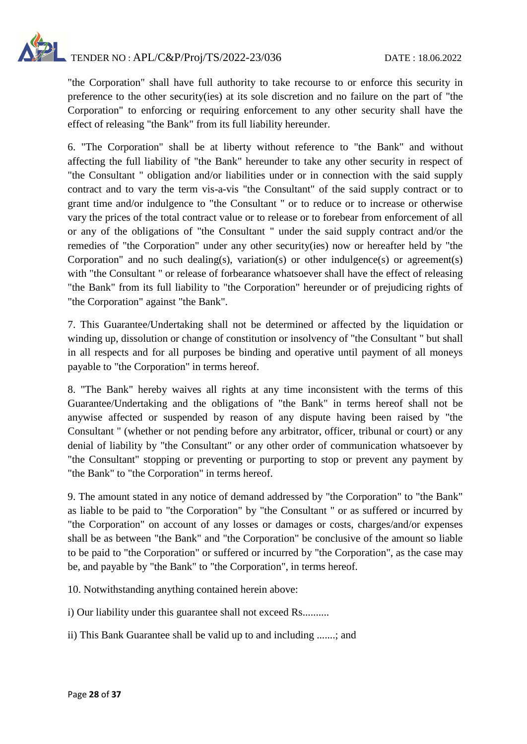

"the Corporation" shall have full authority to take recourse to or enforce this security in preference to the other security(ies) at its sole discretion and no failure on the part of "the Corporation" to enforcing or requiring enforcement to any other security shall have the effect of releasing "the Bank" from its full liability hereunder.

6. "The Corporation" shall be at liberty without reference to "the Bank" and without affecting the full liability of "the Bank" hereunder to take any other security in respect of "the Consultant " obligation and/or liabilities under or in connection with the said supply contract and to vary the term vis-a-vis "the Consultant" of the said supply contract or to grant time and/or indulgence to "the Consultant " or to reduce or to increase or otherwise vary the prices of the total contract value or to release or to forebear from enforcement of all or any of the obligations of "the Consultant " under the said supply contract and/or the remedies of "the Corporation" under any other security(ies) now or hereafter held by "the Corporation" and no such dealing(s), variation(s) or other indulgence(s) or agreement(s) with "the Consultant" or release of forbearance whatsoever shall have the effect of releasing "the Bank" from its full liability to "the Corporation" hereunder or of prejudicing rights of "the Corporation" against "the Bank".

7. This Guarantee/Undertaking shall not be determined or affected by the liquidation or winding up, dissolution or change of constitution or insolvency of "the Consultant " but shall in all respects and for all purposes be binding and operative until payment of all moneys payable to "the Corporation" in terms hereof.

8. "The Bank" hereby waives all rights at any time inconsistent with the terms of this Guarantee/Undertaking and the obligations of "the Bank" in terms hereof shall not be anywise affected or suspended by reason of any dispute having been raised by "the Consultant " (whether or not pending before any arbitrator, officer, tribunal or court) or any denial of liability by "the Consultant" or any other order of communication whatsoever by "the Consultant" stopping or preventing or purporting to stop or prevent any payment by "the Bank" to "the Corporation" in terms hereof.

9. The amount stated in any notice of demand addressed by "the Corporation" to "the Bank" as liable to be paid to "the Corporation" by "the Consultant " or as suffered or incurred by "the Corporation" on account of any losses or damages or costs, charges/and/or expenses shall be as between "the Bank" and "the Corporation" be conclusive of the amount so liable to be paid to "the Corporation" or suffered or incurred by "the Corporation", as the case may be, and payable by "the Bank" to "the Corporation", in terms hereof.

10. Notwithstanding anything contained herein above:

i) Our liability under this guarantee shall not exceed Rs..........

ii) This Bank Guarantee shall be valid up to and including .......; and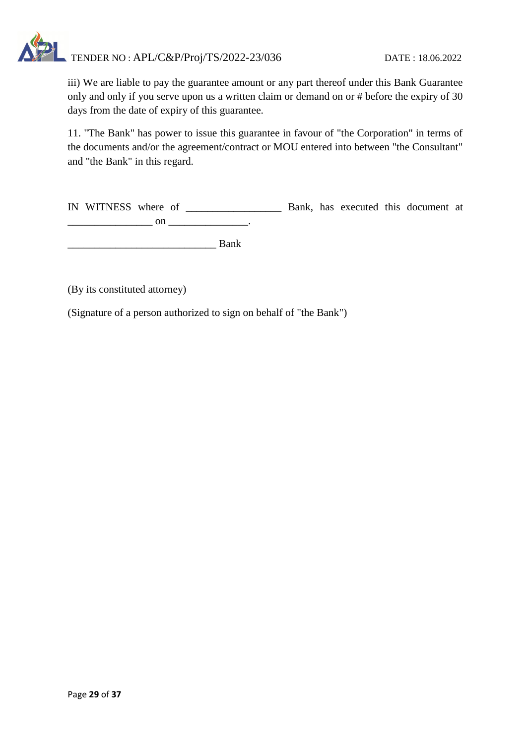iii) We are liable to pay the guarantee amount or any part thereof under this Bank Guarantee only and only if you serve upon us a written claim or demand on or # before the expiry of 30 days from the date of expiry of this guarantee.

11. "The Bank" has power to issue this guarantee in favour of "the Corporation" in terms of the documents and/or the agreement/contract or MOU entered into between "the Consultant" and "the Bank" in this regard.

IN WITNESS where of \_\_\_\_\_\_\_\_\_\_\_\_\_\_\_\_\_\_ Bank, has executed this document at \_\_\_\_\_\_\_\_\_\_\_\_\_\_\_\_ on \_\_\_\_\_\_\_\_\_\_\_\_\_\_\_.

\_\_\_\_\_\_\_\_\_\_\_\_\_\_\_\_\_\_\_\_\_\_\_\_\_\_\_\_ Bank

(By its constituted attorney)

(Signature of a person authorized to sign on behalf of "the Bank")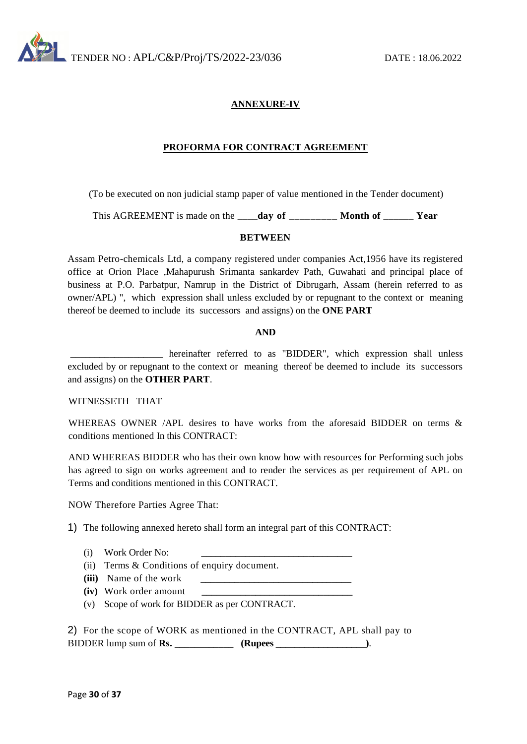

#### **ANNEXURE-IV**

#### **PROFORMA FOR CONTRACT AGREEMENT**

(To be executed on non judicial stamp paper of value mentioned in the Tender document)

This AGREEMENT is made on the **\_\_\_\_day of \_\_\_\_\_\_\_\_\_ Month of \_\_\_\_\_\_ Year**

#### **BETWEEN**

Assam Petro-chemicals Ltd, a company registered under companies Act,1956 have its registered office at Orion Place ,Mahapurush Srimanta sankardev Path, Guwahati and principal place of business at P.O. Parbatpur, Namrup in the District of Dibrugarh, Assam (herein referred to as owner/APL) ", which expression shall unless excluded by or repugnant to the context or meaning thereof be deemed to include its successors and assigns) on the **ONE PART**

#### **AND**

**\_\_\_\_\_\_\_\_\_\_\_\_\_\_\_\_\_\_\_** hereinafter referred to as "BIDDER", which expression shall unless excluded by or repugnant to the context or meaning thereof be deemed to include its successors and assigns) on the **OTHER PART**.

#### WITNESSETH THAT

WHEREAS OWNER /APL desires to have works from the aforesaid BIDDER on terms  $\&$ conditions mentioned In this CONTRACT:

AND WHEREAS BIDDER who has their own know how with resources for Performing such jobs has agreed to sign on works agreement and to render the services as per requirement of APL on Terms and conditions mentioned in this CONTRACT.

NOW Therefore Parties Agree That:

1) The following annexed hereto shall form an integral part of this CONTRACT:

- (i) Work Order No: **\_\_\_\_\_\_\_\_\_\_\_\_\_\_\_\_\_\_\_\_\_\_\_\_\_\_\_\_\_\_\_**
- (ii) Terms & Conditions of enquiry document.
- **(iii)** Name of the work
- **(iv)** Work order amount
- (v) Scope of work for BIDDER as per CONTRACT.

2) For the scope of WORK as mentioned in the CONTRACT, APL shall pay to BIDDER lump sum of **Rs. \_\_\_\_\_\_\_\_\_\_\_\_ (Rupees \_\_\_\_\_\_\_\_\_\_\_\_\_\_\_\_\_\_\_)**.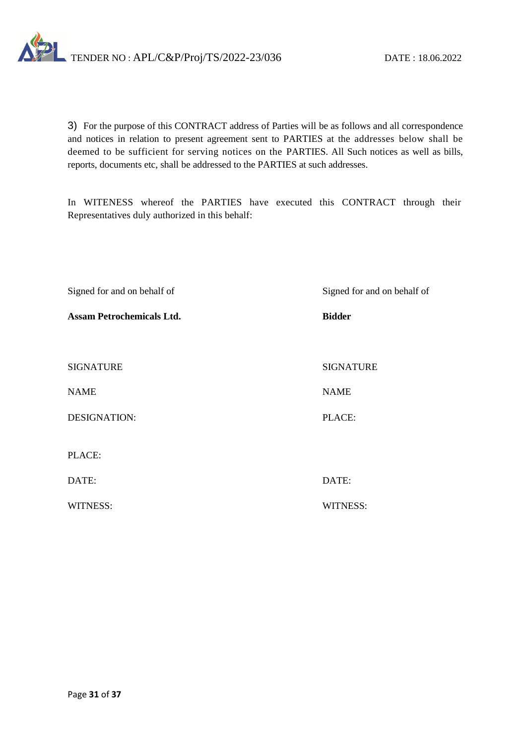

3) For the purpose of this CONTRACT address of Parties will be as follows and all correspondence and notices in relation to present agreement sent to PARTIES at the addresses below shall be deemed to be sufficient for serving notices on the PARTIES. All Such notices as well as bills, reports, documents etc, shall be addressed to the PARTIES at such addresses.

In WITENESS whereof the PARTIES have executed this CONTRACT through their Representatives duly authorized in this behalf:

| Signed for and on behalf of      | Signed for and on behalf of |
|----------------------------------|-----------------------------|
| <b>Assam Petrochemicals Ltd.</b> | <b>Bidder</b>               |
|                                  |                             |
| <b>SIGNATURE</b>                 | <b>SIGNATURE</b>            |
| <b>NAME</b>                      | <b>NAME</b>                 |
| <b>DESIGNATION:</b>              | PLACE:                      |
|                                  |                             |
| PLACE:                           |                             |
| DATE:                            | DATE:                       |
| <b>WITNESS:</b>                  | <b>WITNESS:</b>             |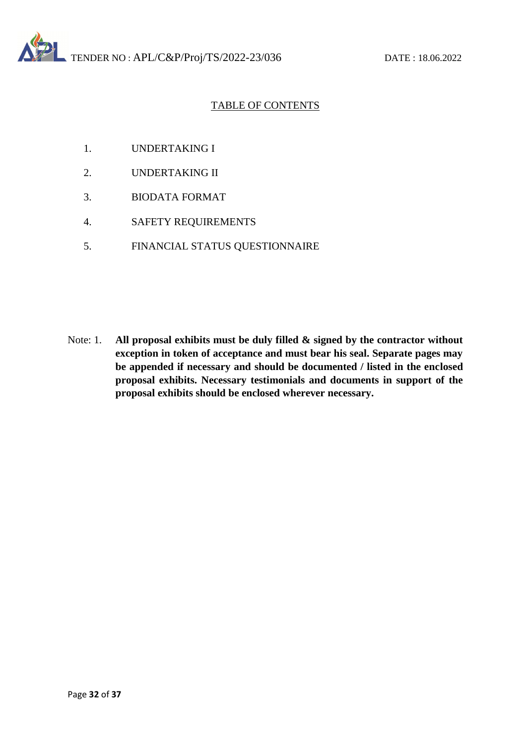## TABLE OF CONTENTS

- 1. UNDERTAKING I
- 2. UNDERTAKING II
- 3. BIODATA FORMAT
- 4. SAFETY REQUIREMENTS
- 5. FINANCIAL STATUS QUESTIONNAIRE

Note: 1. **All proposal exhibits must be duly filled & signed by the contractor without exception in token of acceptance and must bear his seal. Separate pages may be appended if necessary and should be documented / listed in the enclosed proposal exhibits. Necessary testimonials and documents in support of the proposal exhibits should be enclosed wherever necessary.**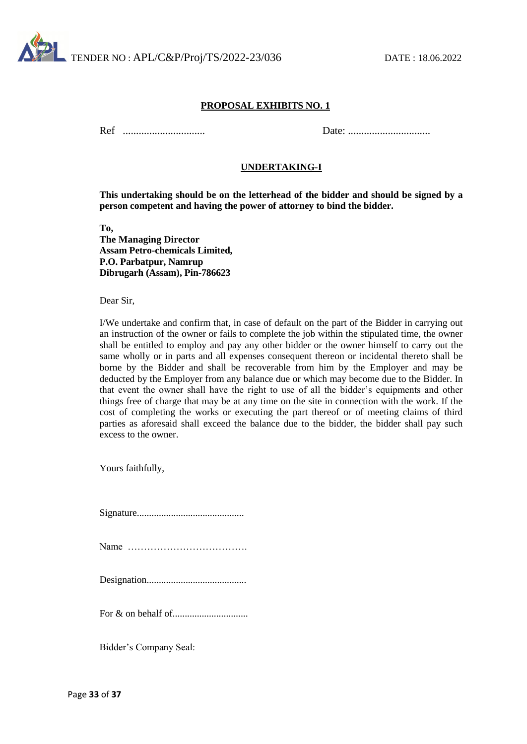

Ref ............................... Date: ...............................

#### **UNDERTAKING-I**

**This undertaking should be on the letterhead of the bidder and should be signed by a person competent and having the power of attorney to bind the bidder.**

**To, The Managing Director Assam Petro-chemicals Limited, P.O. Parbatpur, Namrup Dibrugarh (Assam), Pin-786623**

Dear Sir,

I/We undertake and confirm that, in case of default on the part of the Bidder in carrying out an instruction of the owner or fails to complete the job within the stipulated time, the owner shall be entitled to employ and pay any other bidder or the owner himself to carry out the same wholly or in parts and all expenses consequent thereon or incidental thereto shall be borne by the Bidder and shall be recoverable from him by the Employer and may be deducted by the Employer from any balance due or which may become due to the Bidder. In that event the owner shall have the right to use of all the bidder's equipments and other things free of charge that may be at any time on the site in connection with the work. If the cost of completing the works or executing the part thereof or of meeting claims of third parties as aforesaid shall exceed the balance due to the bidder, the bidder shall pay such excess to the owner.

Yours faithfully,

Signature............................................ Name ………………………………. Designation......................................... For & on behalf of...............................

Bidder's Company Seal: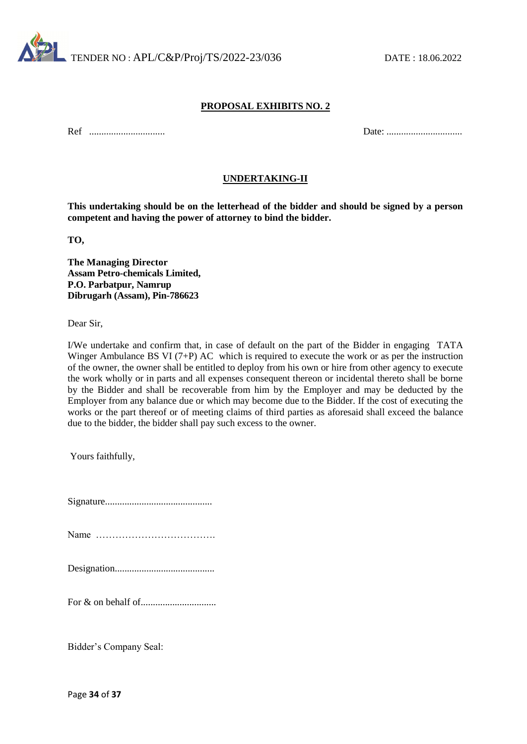

Ref ............................... Date: ...............................

#### **UNDERTAKING-II**

**This undertaking should be on the letterhead of the bidder and should be signed by a person competent and having the power of attorney to bind the bidder.**

**TO,** 

**The Managing Director Assam Petro-chemicals Limited, P.O. Parbatpur, Namrup Dibrugarh (Assam), Pin-786623**

Dear Sir,

I/We undertake and confirm that, in case of default on the part of the Bidder in engaging TATA Winger Ambulance BS VI (7+P) AC which is required to execute the work or as per the instruction of the owner, the owner shall be entitled to deploy from his own or hire from other agency to execute the work wholly or in parts and all expenses consequent thereon or incidental thereto shall be borne by the Bidder and shall be recoverable from him by the Employer and may be deducted by the Employer from any balance due or which may become due to the Bidder. If the cost of executing the works or the part thereof or of meeting claims of third parties as aforesaid shall exceed the balance due to the bidder, the bidder shall pay such excess to the owner.

Yours faithfully,

Bidder's Company Seal: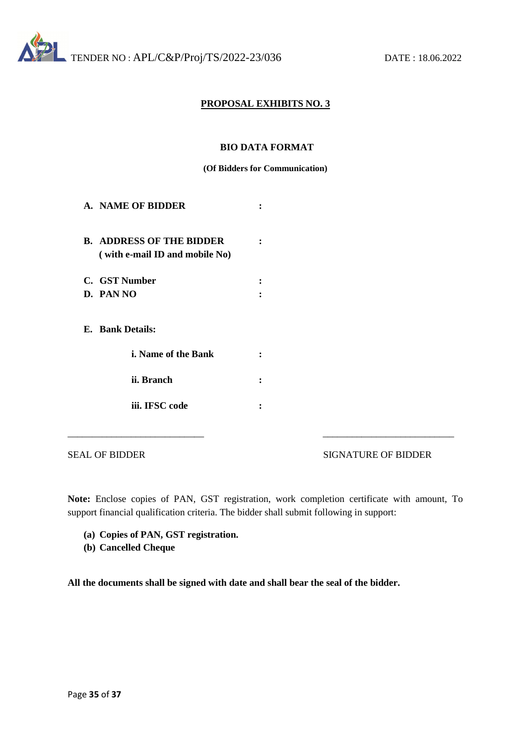

#### **BIO DATA FORMAT**

#### **(Of Bidders for Communication)**

| A.NAME OF BIDDER                                                  |  |
|-------------------------------------------------------------------|--|
| <b>B. ADDRESS OF THE BIDDER</b><br>(with e-mail ID and mobile No) |  |
| C. GST Number                                                     |  |
| D. PAN NO                                                         |  |
| E. Bank Details:                                                  |  |
| <i>i.</i> Name of the Bank                                        |  |
| ii. Branch                                                        |  |
| iii. IFSC code                                                    |  |

SEAL OF BIDDER SIGNATURE OF BIDDER

**Note:** Enclose copies of PAN, GST registration, work completion certificate with amount, To support financial qualification criteria. The bidder shall submit following in support:

\_\_\_\_\_\_\_\_\_\_\_\_\_\_\_\_\_\_\_\_\_\_\_\_\_\_\_\_ \_\_\_\_\_\_\_\_\_\_\_\_\_\_\_\_\_\_\_\_\_\_\_\_\_\_\_

- **(a) Copies of PAN, GST registration.**
- **(b) Cancelled Cheque**

**All the documents shall be signed with date and shall bear the seal of the bidder.**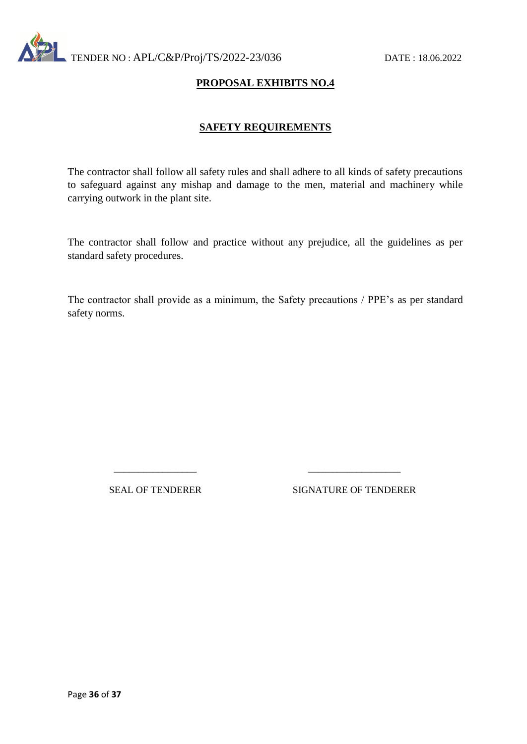

## **SAFETY REQUIREMENTS**

The contractor shall follow all safety rules and shall adhere to all kinds of safety precautions to safeguard against any mishap and damage to the men, material and machinery while carrying outwork in the plant site.

The contractor shall follow and practice without any prejudice, all the guidelines as per standard safety procedures.

The contractor shall provide as a minimum, the Safety precautions / PPE's as per standard safety norms.

\_\_\_\_\_\_\_\_\_\_\_\_\_\_\_\_\_ \_\_\_\_\_\_\_\_\_\_\_\_\_\_\_\_\_\_\_

SEAL OF TENDERER SIGNATURE OF TENDERER